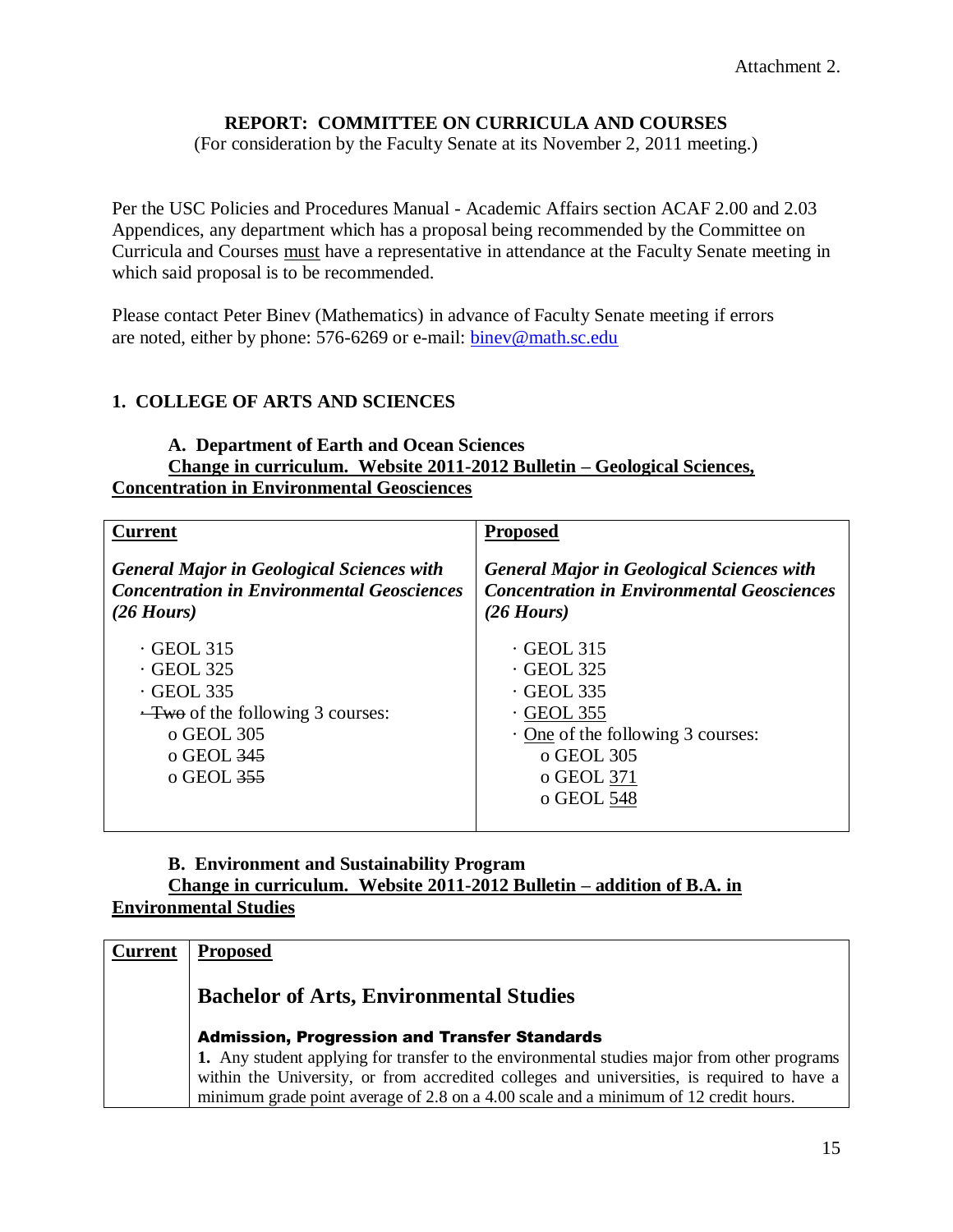# **REPORT: COMMITTEE ON CURRICULA AND COURSES**

(For consideration by the Faculty Senate at its November 2, 2011 meeting.)

Per the USC Policies and Procedures Manual - Academic Affairs section ACAF 2.00 and 2.03 Appendices, any department which has a proposal being recommended by the Committee on Curricula and Courses must have a representative in attendance at the Faculty Senate meeting in which said proposal is to be recommended.

Please contact Peter Binev (Mathematics) in advance of Faculty Senate meeting if errors are noted, either by phone: 576-6269 or e-mail: [binev@math.sc.edu](mailto:binev@math.sc.edu)

### **1. COLLEGE OF ARTS AND SCIENCES**

#### **A. Department of Earth and Ocean Sciences Change in curriculum. Website 2011-2012 Bulletin – Geological Sciences, Concentration in Environmental Geosciences**

| <b>Current</b>                                                                                                                                                          | <b>Proposed</b>                                                                                                                                                   |
|-------------------------------------------------------------------------------------------------------------------------------------------------------------------------|-------------------------------------------------------------------------------------------------------------------------------------------------------------------|
| <b>General Major in Geological Sciences with</b><br><b>Concentration in Environmental Geosciences</b><br>$(26$ Hours)                                                   | <b>General Major in Geological Sciences with</b><br><b>Concentration in Environmental Geosciences</b><br>$(26$ Hours)                                             |
| $\cdot$ GEOL 315<br>$\cdot$ GEOL 325<br>$\cdot$ GEOL 335<br>$\frac{-\text{Two}}{2}$ of the following 3 courses:<br>o GEOL 305<br>$\sigma$ GEOL 345<br>$\sigma$ GEOL 355 | $\cdot$ GEOL 315<br>$\cdot$ GEOL 325<br>$\cdot$ GEOL 335<br>$\cdot$ GEOL 355<br>$\cdot$ One of the following 3 courses:<br>o GEOL 305<br>o GEOL 371<br>o GEOL 548 |

#### **B. Environment and Sustainability Program Change in curriculum. Website 2011-2012 Bulletin – addition of B.A. in Environmental Studies**

| <b>Current</b> | <b>Proposed</b>                                                                                                                                                                                                                                                                   |
|----------------|-----------------------------------------------------------------------------------------------------------------------------------------------------------------------------------------------------------------------------------------------------------------------------------|
|                | <b>Bachelor of Arts, Environmental Studies</b>                                                                                                                                                                                                                                    |
|                | <b>Admission, Progression and Transfer Standards</b>                                                                                                                                                                                                                              |
|                | 1. Any student applying for transfer to the environmental studies major from other programs<br>within the University, or from accredited colleges and universities, is required to have a<br>minimum grade point average of 2.8 on a 4.00 scale and a minimum of 12 credit hours. |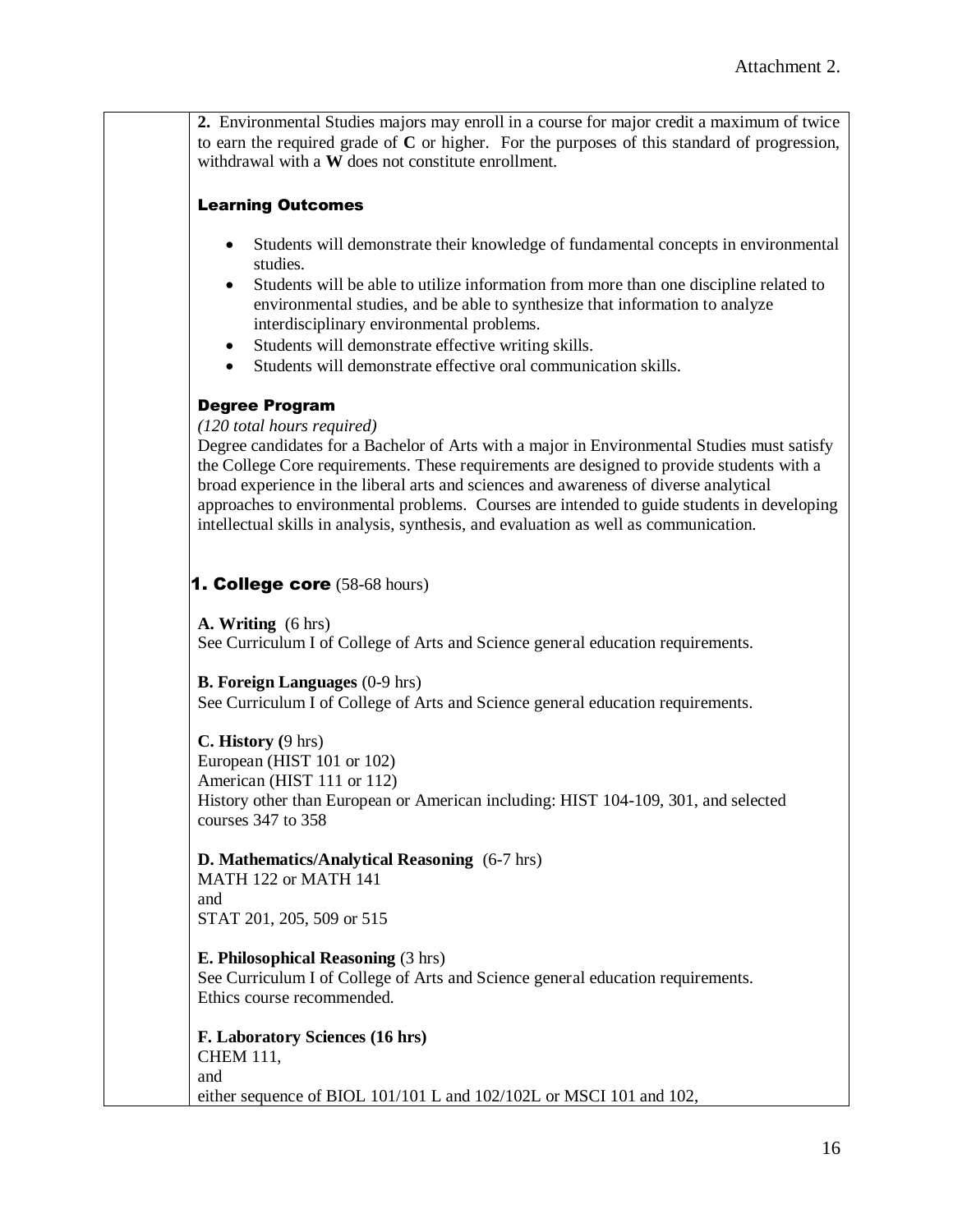**2.** Environmental Studies majors may enroll in a course for major credit a maximum of twice to earn the required grade of **C** or higher. For the purposes of this standard of progression, withdrawal with a **W** does not constitute enrollment.

#### Learning Outcomes

- Students will demonstrate their knowledge of fundamental concepts in environmental studies.
- Students will be able to utilize information from more than one discipline related to environmental studies, and be able to synthesize that information to analyze interdisciplinary environmental problems.
- Students will demonstrate effective writing skills.
- Students will demonstrate effective oral communication skills.

#### Degree Program

*(120 total hours required)*

Degree candidates for a Bachelor of Arts with a major in Environmental Studies must satisfy the College Core requirements. These requirements are designed to provide students with a broad experience in the liberal arts and sciences and awareness of diverse analytical approaches to environmental problems. Courses are intended to guide students in developing intellectual skills in analysis, synthesis, and evaluation as well as communication.

#### **1. College core**  $(58-68 \text{ hours})$

**A. Writing** (6 hrs) See Curriculum I of College of Arts and Science general education requirements.

**B. Foreign Languages** (0-9 hrs) See Curriculum I of College of Arts and Science general education requirements.

#### **C. History (**9 hrs)

European (HIST 101 or 102) American (HIST 111 or 112) History other than European or American including: HIST 104-109, 301, and selected courses 347 to 358

**D. Mathematics/Analytical Reasoning** (6-7 hrs) MATH 122 or MATH 141

and STAT 201, 205, 509 or 515

**E. Philosophical Reasoning** (3 hrs)

See Curriculum I of College of Arts and Science general education requirements. Ethics course recommended.

**F. Laboratory Sciences (16 hrs)** CHEM 111, and either sequence of BIOL 101/101 L and 102/102L or MSCI 101 and 102,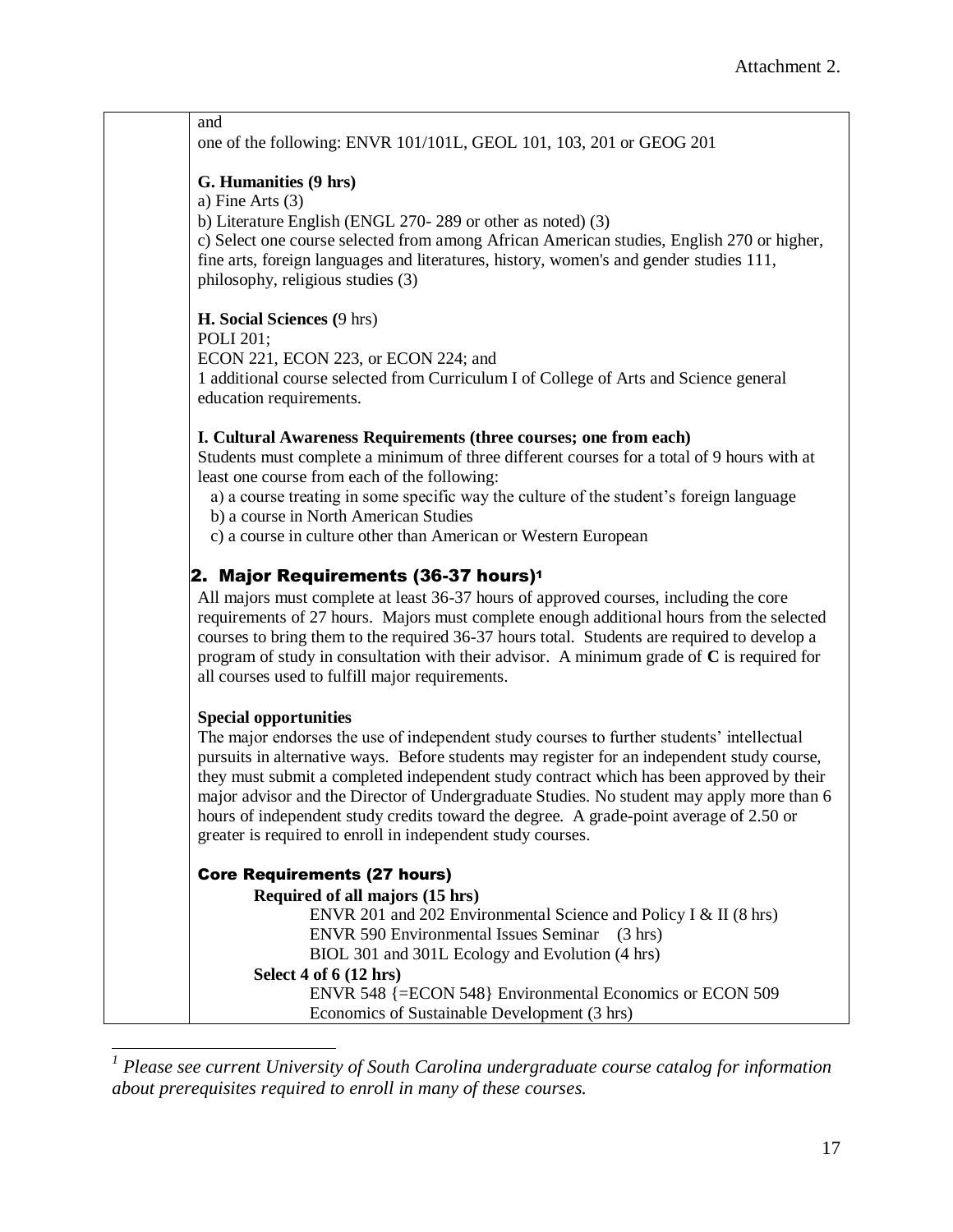and one of the following: ENVR 101/101L, GEOL 101, 103, 201 or GEOG 201

#### **G. Humanities (9 hrs)**

a) Fine Arts (3)

b) Literature English (ENGL 270- 289 or other as noted) (3)

c) Select one course selected from among African American studies, English 270 or higher, fine arts, foreign languages and literatures, history, women's and gender studies 111, philosophy, religious studies (3)

**H. Social Sciences (**9 hrs)

POLI 201;

ECON 221, ECON 223, or ECON 224; and

1 additional course selected from Curriculum I of College of Arts and Science general education requirements.

#### **I. Cultural Awareness Requirements (three courses; one from each)**

Students must complete a minimum of three different courses for a total of 9 hours with at least one course from each of the following:

a) a course treating in some specific way the culture of the student's foreign language

b) a course in North American Studies

c) a course in culture other than American or Western European

### 2. Major Requirements (36-37 hours)<sup>1</sup>

All majors must complete at least 36-37 hours of approved courses, including the core requirements of 27 hours. Majors must complete enough additional hours from the selected courses to bring them to the required 36-37 hours total. Students are required to develop a program of study in consultation with their advisor. A minimum grade of **C** is required for all courses used to fulfill major requirements.

#### **Special opportunities**

 $\overline{\phantom{a}}$ 

The major endorses the use of independent study courses to further students' intellectual pursuits in alternative ways. Before students may register for an independent study course, they must submit a completed independent study contract which has been approved by their major advisor and the Director of Undergraduate Studies. No student may apply more than 6 hours of independent study credits toward the degree. A grade-point average of 2.50 or greater is required to enroll in independent study courses.

#### Core Requirements (27 hours)

**Required of all majors (15 hrs)** ENVR 201 and 202 Environmental Science and Policy I & II (8 hrs) ENVR 590 Environmental Issues Seminar (3 hrs) BIOL 301 and 301L Ecology and Evolution (4 hrs) **Select 4 of 6 (12 hrs)** ENVR 548 {=ECON 548} Environmental Economics or ECON 509 Economics of Sustainable Development (3 hrs)

*<sup>1</sup> Please see current University of South Carolina undergraduate course catalog for information about prerequisites required to enroll in many of these courses.*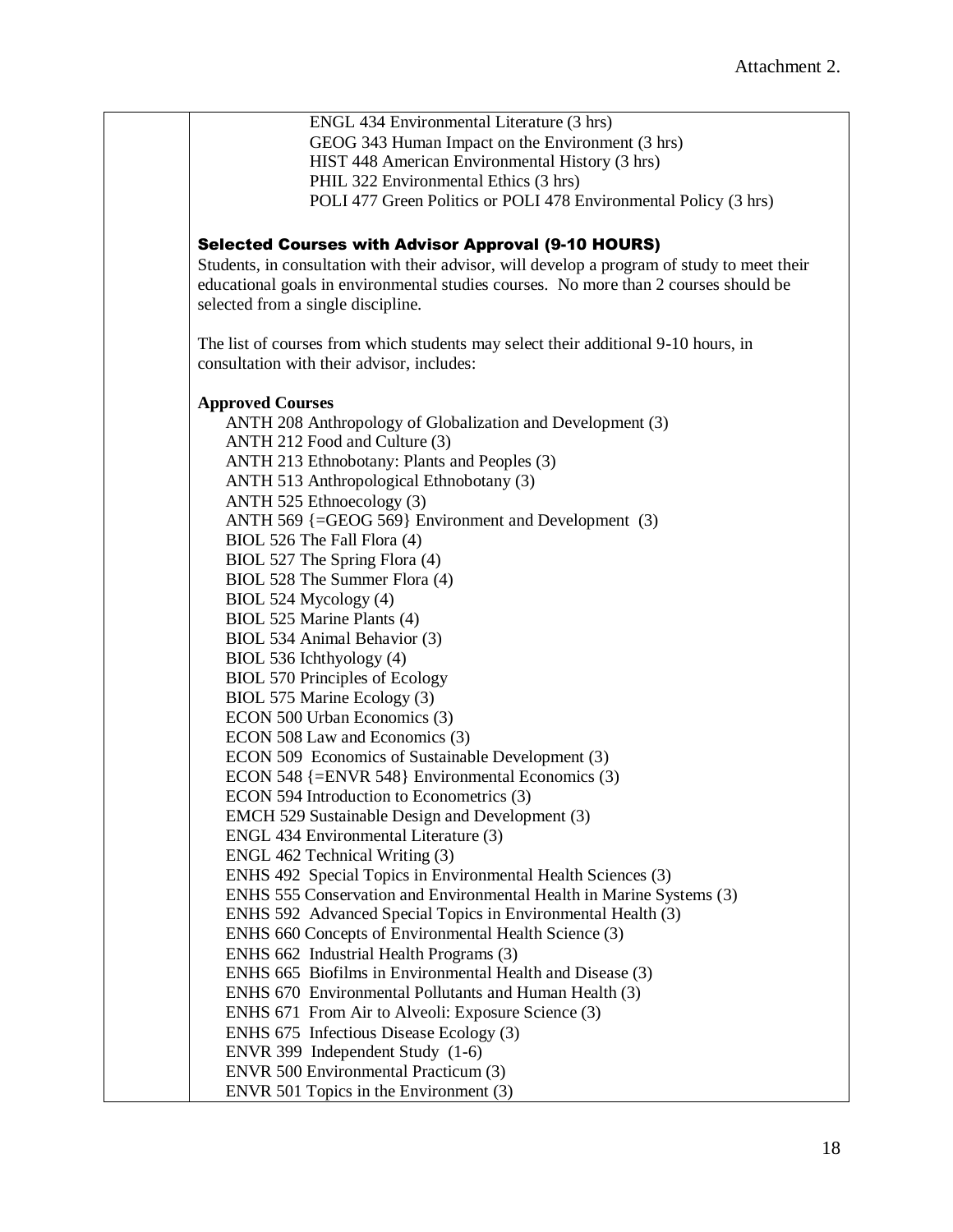ENGL 434 Environmental Literature (3 hrs) GEOG 343 Human Impact on the Environment (3 hrs) HIST 448 American Environmental History (3 hrs) PHIL 322 Environmental Ethics (3 hrs) POLI 477 Green Politics or POLI 478 Environmental Policy (3 hrs) Selected Courses with Advisor Approval (9-10 HOURS) Students, in consultation with their advisor, will develop a program of study to meet their educational goals in environmental studies courses. No more than 2 courses should be selected from a single discipline. The list of courses from which students may select their additional 9-10 hours, in consultation with their advisor, includes: **Approved Courses** ANTH 208 Anthropology of Globalization and Development (3) ANTH 212 Food and Culture (3) ANTH 213 Ethnobotany: Plants and Peoples (3) ANTH 513 Anthropological Ethnobotany (3) ANTH 525 Ethnoecology (3) ANTH 569 {=GEOG 569} Environment and Development (3) BIOL 526 The Fall Flora (4) BIOL 527 The Spring Flora (4) BIOL 528 The Summer Flora (4) BIOL 524 Mycology (4) BIOL 525 Marine Plants (4) BIOL 534 Animal Behavior (3) BIOL 536 Ichthyology (4) BIOL 570 Principles of Ecology BIOL 575 Marine Ecology (3) ECON 500 Urban Economics (3) ECON 508 Law and Economics (3) ECON 509 Economics of Sustainable Development (3) ECON 548 {=ENVR 548} Environmental Economics (3) ECON 594 Introduction to Econometrics (3) EMCH 529 Sustainable Design and Development (3) ENGL 434 Environmental Literature (3) ENGL 462 Technical Writing (3) ENHS 492 Special Topics in Environmental Health Sciences (3) ENHS 555 Conservation and Environmental Health in Marine Systems (3) ENHS 592 Advanced Special Topics in Environmental Health (3) ENHS 660 Concepts of Environmental Health Science (3) ENHS 662 Industrial Health Programs (3) ENHS 665 Biofilms in Environmental Health and Disease (3) ENHS 670 Environmental Pollutants and Human Health (3) ENHS 671 From Air to Alveoli: Exposure Science (3) ENHS 675 Infectious Disease Ecology (3) ENVR 399 Independent Study (1-6) ENVR 500 Environmental Practicum (3) ENVR 501 Topics in the Environment (3)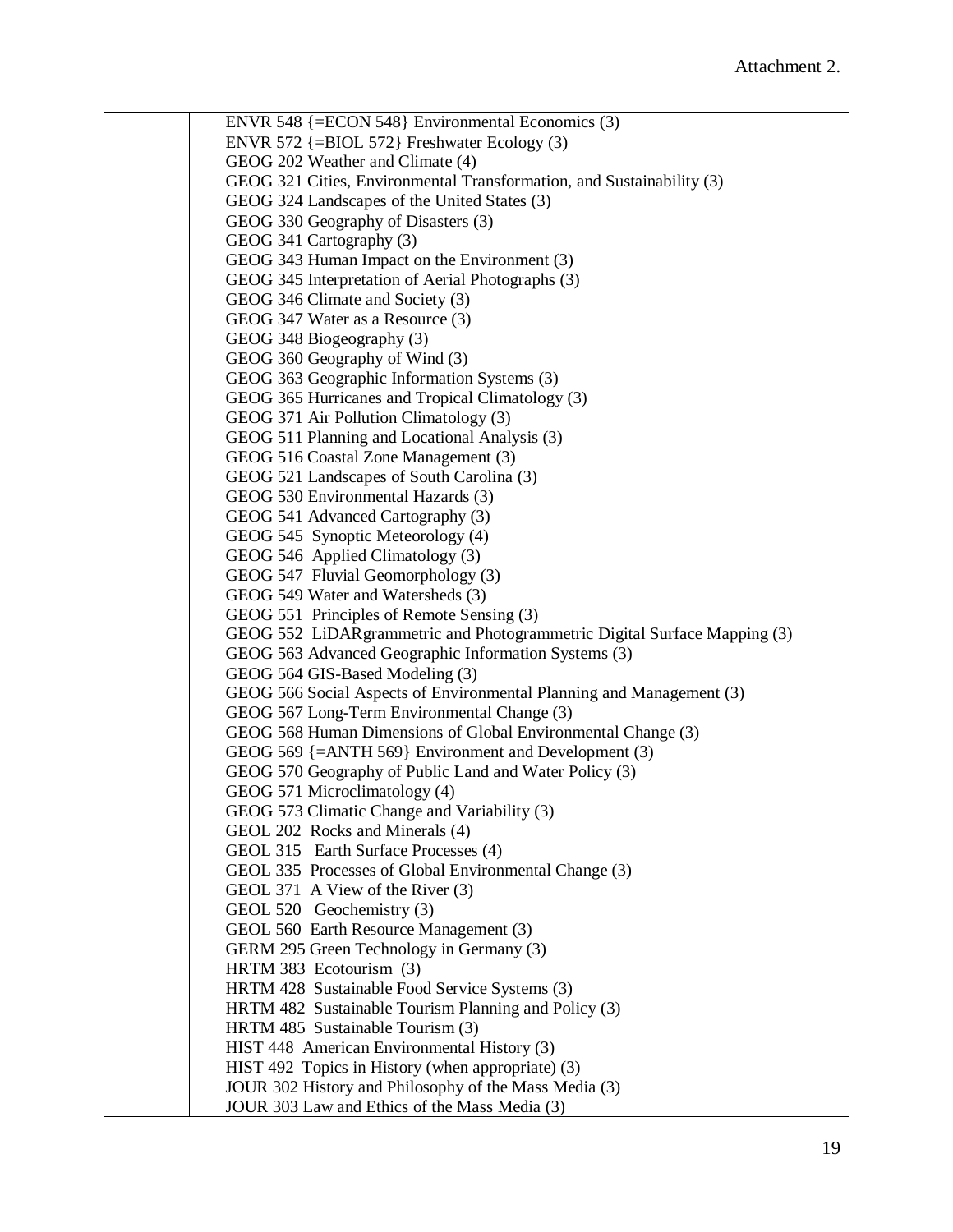ENVR 548 {=ECON 548} Environmental Economics (3) ENVR 572 {=BIOL 572} Freshwater Ecology (3) GEOG 202 Weather and Climate (4) GEOG 321 Cities, Environmental Transformation, and Sustainability (3) GEOG 324 Landscapes of the United States (3) GEOG 330 Geography of Disasters (3) GEOG 341 Cartography (3) GEOG 343 Human Impact on the Environment (3) GEOG 345 Interpretation of Aerial Photographs (3) GEOG 346 Climate and Society (3) GEOG 347 Water as a Resource (3) GEOG 348 Biogeography (3) GEOG 360 Geography of Wind (3) GEOG 363 Geographic Information Systems (3) GEOG 365 Hurricanes and Tropical Climatology (3) GEOG 371 Air Pollution Climatology (3) GEOG 511 Planning and Locational Analysis (3) GEOG 516 Coastal Zone Management (3) GEOG 521 Landscapes of South Carolina (3) GEOG 530 Environmental Hazards (3) GEOG 541 Advanced Cartography (3) GEOG 545 Synoptic Meteorology (4) GEOG 546 Applied Climatology (3) GEOG 547 Fluvial Geomorphology (3) GEOG 549 Water and Watersheds (3) GEOG 551 Principles of Remote Sensing (3) GEOG 552 LiDARgrammetric and Photogrammetric Digital Surface Mapping (3) GEOG 563 Advanced Geographic Information Systems (3) GEOG 564 GIS-Based Modeling (3) GEOG 566 Social Aspects of Environmental Planning and Management (3) GEOG 567 Long-Term Environmental Change (3) GEOG 568 Human Dimensions of Global Environmental Change (3) GEOG 569 {=ANTH 569} Environment and Development (3) GEOG 570 Geography of Public Land and Water Policy (3) GEOG 571 Microclimatology (4) GEOG 573 Climatic Change and Variability (3) GEOL 202 Rocks and Minerals (4) GEOL 315 Earth Surface Processes (4) GEOL 335 Processes of Global Environmental Change (3) GEOL 371 A View of the River (3) GEOL 520 Geochemistry (3) GEOL 560 Earth Resource Management (3) GERM 295 Green Technology in Germany (3) HRTM 383 Ecotourism (3) HRTM 428 Sustainable Food Service Systems (3) HRTM 482 Sustainable Tourism Planning and Policy (3) HRTM 485 Sustainable Tourism (3) HIST 448 American Environmental History (3) HIST 492 Topics in History (when appropriate) (3) JOUR 302 History and Philosophy of the Mass Media (3) JOUR 303 Law and Ethics of the Mass Media (3)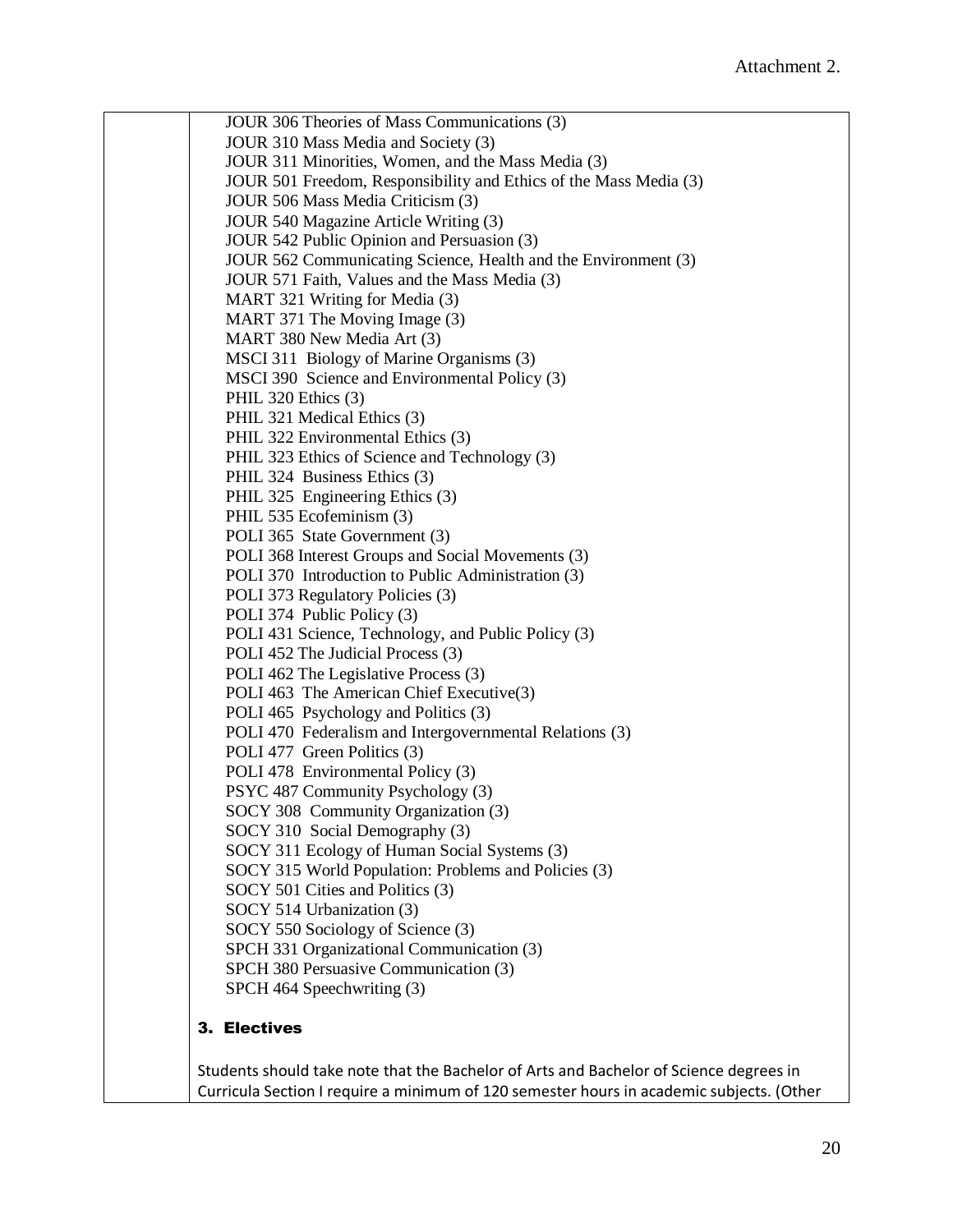JOUR 306 Theories of Mass Communications (3) JOUR 310 Mass Media and Society (3) JOUR 311 Minorities, Women, and the Mass Media (3) JOUR 501 Freedom, Responsibility and Ethics of the Mass Media (3) JOUR 506 Mass Media Criticism (3) JOUR 540 Magazine Article Writing (3) JOUR 542 Public Opinion and Persuasion (3) JOUR 562 Communicating Science, Health and the Environment (3) JOUR 571 Faith, Values and the Mass Media (3) MART 321 Writing for Media (3) MART 371 The Moving Image (3) MART 380 New Media Art (3) MSCI 311 Biology of Marine Organisms (3) MSCI 390 Science and Environmental Policy (3) PHIL 320 Ethics (3) PHIL 321 Medical Ethics (3) PHIL 322 Environmental Ethics (3) PHIL 323 Ethics of Science and Technology (3) PHIL 324 Business Ethics (3) PHIL 325 Engineering Ethics (3) PHIL 535 Ecofeminism (3) POLI 365 State Government (3) POLI 368 Interest Groups and Social Movements (3) POLI 370 Introduction to Public Administration (3) POLI 373 Regulatory Policies (3) POLI 374 Public Policy (3) POLI 431 Science, Technology, and Public Policy (3) POLI 452 The Judicial Process (3) POLI 462 The Legislative Process (3) POLI 463 The American Chief Executive(3) POLI 465 Psychology and Politics (3) POLI 470 Federalism and Intergovernmental Relations (3) POLI 477 Green Politics (3) POLI 478 Environmental Policy (3) PSYC 487 Community Psychology (3) SOCY 308 Community Organization (3) SOCY 310 Social Demography (3) SOCY 311 Ecology of Human Social Systems (3) SOCY 315 World Population: Problems and Policies (3) SOCY 501 Cities and Politics (3) SOCY 514 Urbanization (3) SOCY 550 Sociology of Science (3) SPCH 331 Organizational Communication (3) SPCH 380 Persuasive Communication (3) SPCH 464 Speechwriting (3) 3. Electives

Students should take note that the Bachelor of Arts and Bachelor of Science degrees in Curricula Section I require a minimum of 120 semester hours in academic subjects. (Other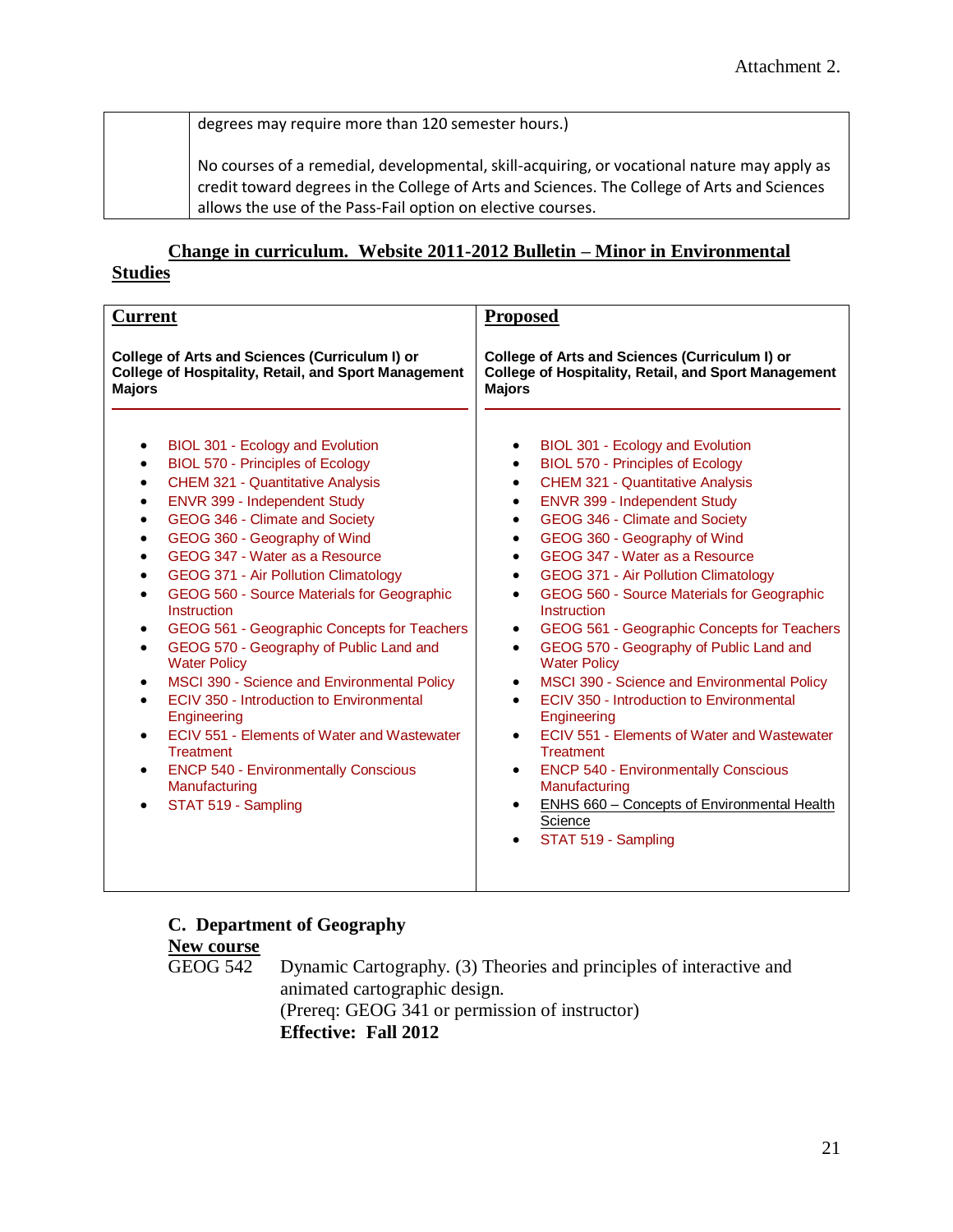degrees may require more than 120 semester hours.)

No courses of a remedial, developmental, skill-acquiring, or vocational nature may apply as credit toward degrees in the College of Arts and Sciences. The College of Arts and Sciences allows the use of the Pass-Fail option on elective courses.

# **Change in curriculum. Website 2011-2012 Bulletin – Minor in Environmental**

#### **Studies**

| <b>Current</b>                                                                                                                                                                                                                                                                                                                                                                                                                                                                                                                                                                                                                                                                                                                                                                                                                                                            | <b>Proposed</b>                                                                                                                                                                                                                                                                                                                                                                                                                                                                                                                                                                                                                                                                                                                                                                                                                                                                                                                                                                                            |
|---------------------------------------------------------------------------------------------------------------------------------------------------------------------------------------------------------------------------------------------------------------------------------------------------------------------------------------------------------------------------------------------------------------------------------------------------------------------------------------------------------------------------------------------------------------------------------------------------------------------------------------------------------------------------------------------------------------------------------------------------------------------------------------------------------------------------------------------------------------------------|------------------------------------------------------------------------------------------------------------------------------------------------------------------------------------------------------------------------------------------------------------------------------------------------------------------------------------------------------------------------------------------------------------------------------------------------------------------------------------------------------------------------------------------------------------------------------------------------------------------------------------------------------------------------------------------------------------------------------------------------------------------------------------------------------------------------------------------------------------------------------------------------------------------------------------------------------------------------------------------------------------|
| College of Arts and Sciences (Curriculum I) or<br>College of Hospitality, Retail, and Sport Management<br><b>Majors</b>                                                                                                                                                                                                                                                                                                                                                                                                                                                                                                                                                                                                                                                                                                                                                   | College of Arts and Sciences (Curriculum I) or<br>College of Hospitality, Retail, and Sport Management<br><b>Majors</b>                                                                                                                                                                                                                                                                                                                                                                                                                                                                                                                                                                                                                                                                                                                                                                                                                                                                                    |
| BIOL 301 - Ecology and Evolution<br><b>BIOL 570 - Principles of Ecology</b><br>$\bullet$<br><b>CHEM 321 - Quantitative Analysis</b><br>ENVR 399 - Independent Study<br>$\bullet$<br>GEOG 346 - Climate and Society<br>$\bullet$<br>GEOG 360 - Geography of Wind<br>$\bullet$<br>GEOG 347 - Water as a Resource<br>$\bullet$<br>GEOG 371 - Air Pollution Climatology<br>$\bullet$<br>GEOG 560 - Source Materials for Geographic<br>Instruction<br>GEOG 561 - Geographic Concepts for Teachers<br>$\bullet$<br>GEOG 570 - Geography of Public Land and<br>$\bullet$<br><b>Water Policy</b><br>MSCI 390 - Science and Environmental Policy<br>ECIV 350 - Introduction to Environmental<br>Engineering<br>ECIV 551 - Elements of Water and Wastewater<br><b>Treatment</b><br><b>ENCP 540 - Environmentally Conscious</b><br>$\bullet$<br>Manufacturing<br>STAT 519 - Sampling | BIOL 301 - Ecology and Evolution<br>BIOL 570 - Principles of Ecology<br>$\bullet$<br><b>CHEM 321 - Quantitative Analysis</b><br>$\bullet$<br>ENVR 399 - Independent Study<br>$\bullet$<br>GEOG 346 - Climate and Society<br>$\bullet$<br>GEOG 360 - Geography of Wind<br>$\bullet$<br>GEOG 347 - Water as a Resource<br>$\bullet$<br>GEOG 371 - Air Pollution Climatology<br>$\bullet$<br>GEOG 560 - Source Materials for Geographic<br>$\bullet$<br>Instruction<br>GEOG 561 - Geographic Concepts for Teachers<br>$\bullet$<br>GEOG 570 - Geography of Public Land and<br>$\bullet$<br><b>Water Policy</b><br>MSCI 390 - Science and Environmental Policy<br>$\bullet$<br>ECIV 350 - Introduction to Environmental<br>$\bullet$<br>Engineering<br>ECIV 551 - Elements of Water and Wastewater<br>$\bullet$<br><b>Treatment</b><br><b>ENCP 540 - Environmentally Conscious</b><br>$\bullet$<br>Manufacturing<br>ENHS 660 - Concepts of Environmental Health<br>$\bullet$<br>Science<br>STAT 519 - Sampling |

### **C. Department of Geography New course**

GEOG 542 Dynamic Cartography. (3) Theories and principles of interactive and animated cartographic design. (Prereq: GEOG 341 or permission of instructor) **Effective: Fall 2012**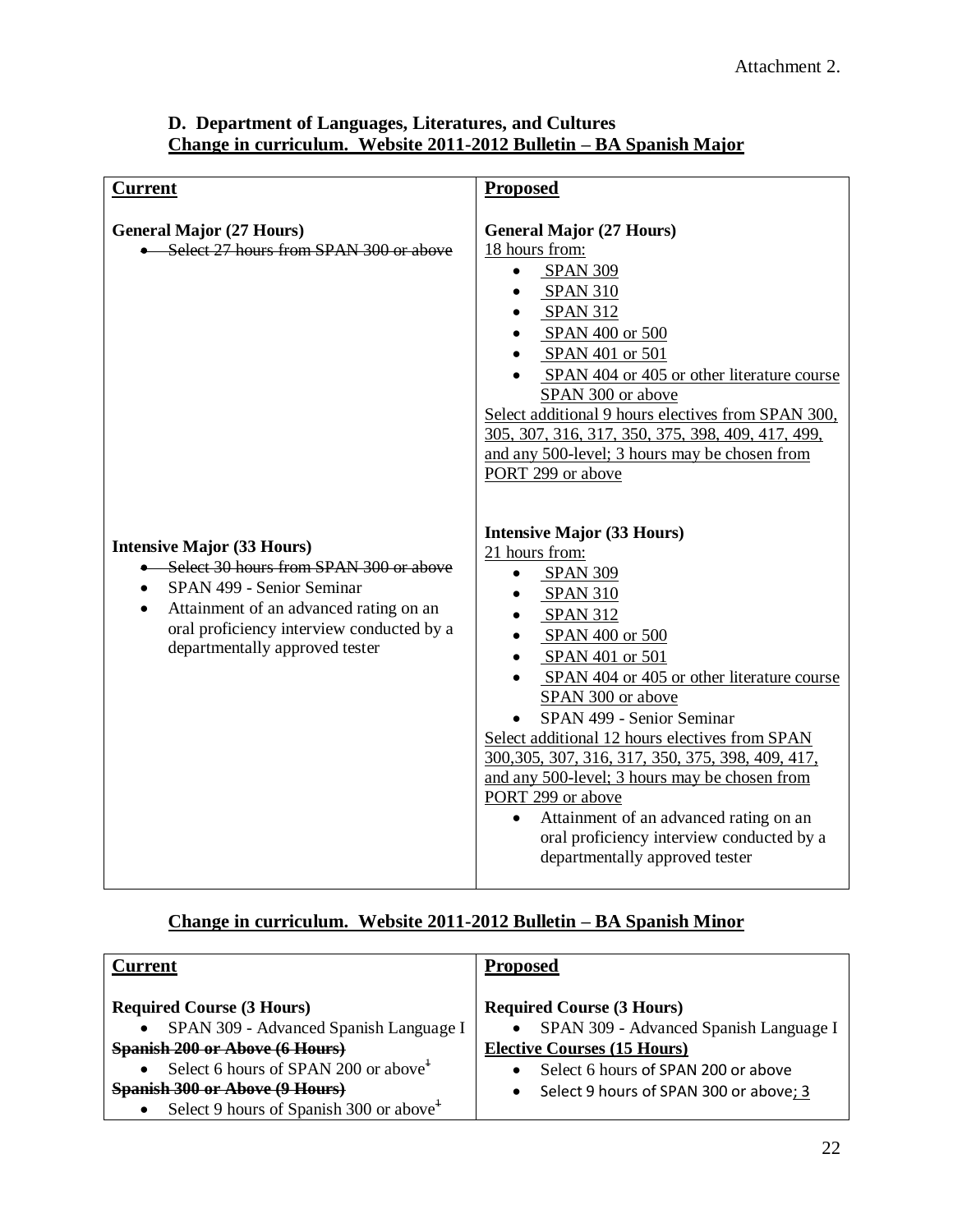# **D. Department of Languages, Literatures, and Cultures Change in curriculum. Website 2011-2012 Bulletin – BA Spanish Major**

| <b>Current</b>                                                                                                                                                                                                                                 | <b>Proposed</b>                                                                                                                                                                                                                                                                                                                                                                                                                                                                                                                                                       |
|------------------------------------------------------------------------------------------------------------------------------------------------------------------------------------------------------------------------------------------------|-----------------------------------------------------------------------------------------------------------------------------------------------------------------------------------------------------------------------------------------------------------------------------------------------------------------------------------------------------------------------------------------------------------------------------------------------------------------------------------------------------------------------------------------------------------------------|
| <b>General Major (27 Hours)</b><br>• Select 27 hours from SPAN 300 or above                                                                                                                                                                    | <b>General Major (27 Hours)</b><br>18 hours from:<br><b>SPAN 309</b><br><b>SPAN 310</b><br><b>SPAN 312</b><br>SPAN 400 or 500<br>SPAN 401 or 501<br>SPAN 404 or 405 or other literature course<br>SPAN 300 or above<br>Select additional 9 hours electives from SPAN 300,<br>305, 307, 316, 317, 350, 375, 398, 409, 417, 499,<br>and any 500-level; 3 hours may be chosen from<br>PORT 299 or above                                                                                                                                                                  |
| <b>Intensive Major (33 Hours)</b><br>Select 30 hours from SPAN 300 or above<br>SPAN 499 - Senior Seminar<br>$\bullet$<br>Attainment of an advanced rating on an<br>oral proficiency interview conducted by a<br>departmentally approved tester | <b>Intensive Major (33 Hours)</b><br>21 hours from:<br><b>SPAN 309</b><br><b>SPAN 310</b><br><b>SPAN 312</b><br>SPAN 400 or 500<br>SPAN 401 or 501<br>SPAN 404 or 405 or other literature course<br>SPAN 300 or above<br>SPAN 499 - Senior Seminar<br>Select additional 12 hours electives from SPAN<br>300, 305, 307, 316, 317, 350, 375, 398, 409, 417,<br>and any 500-level; 3 hours may be chosen from<br>PORT 299 or above<br>Attainment of an advanced rating on an<br>$\bullet$<br>oral proficiency interview conducted by a<br>departmentally approved tester |

# **Change in curriculum. Website 2011-2012 Bulletin – BA Spanish Minor**

| Current                                             | <b>Proposed</b>                        |
|-----------------------------------------------------|----------------------------------------|
| <b>Required Course (3 Hours)</b>                    | <b>Required Course (3 Hours)</b>       |
| SPAN 309 - Advanced Spanish Language I              | SPAN 309 - Advanced Spanish Language I |
| <b>Spanish 200 or Above (6 Hours)</b>               | <b>Elective Courses (15 Hours)</b>     |
| Select 6 hours of SPAN 200 or above <sup>+</sup>    | Select 6 hours of SPAN 200 or above    |
| <b>Spanish 300 or Above (9 Hours)</b>               | Select 9 hours of SPAN 300 or above; 3 |
| Select 9 hours of Spanish 300 or above <sup>+</sup> |                                        |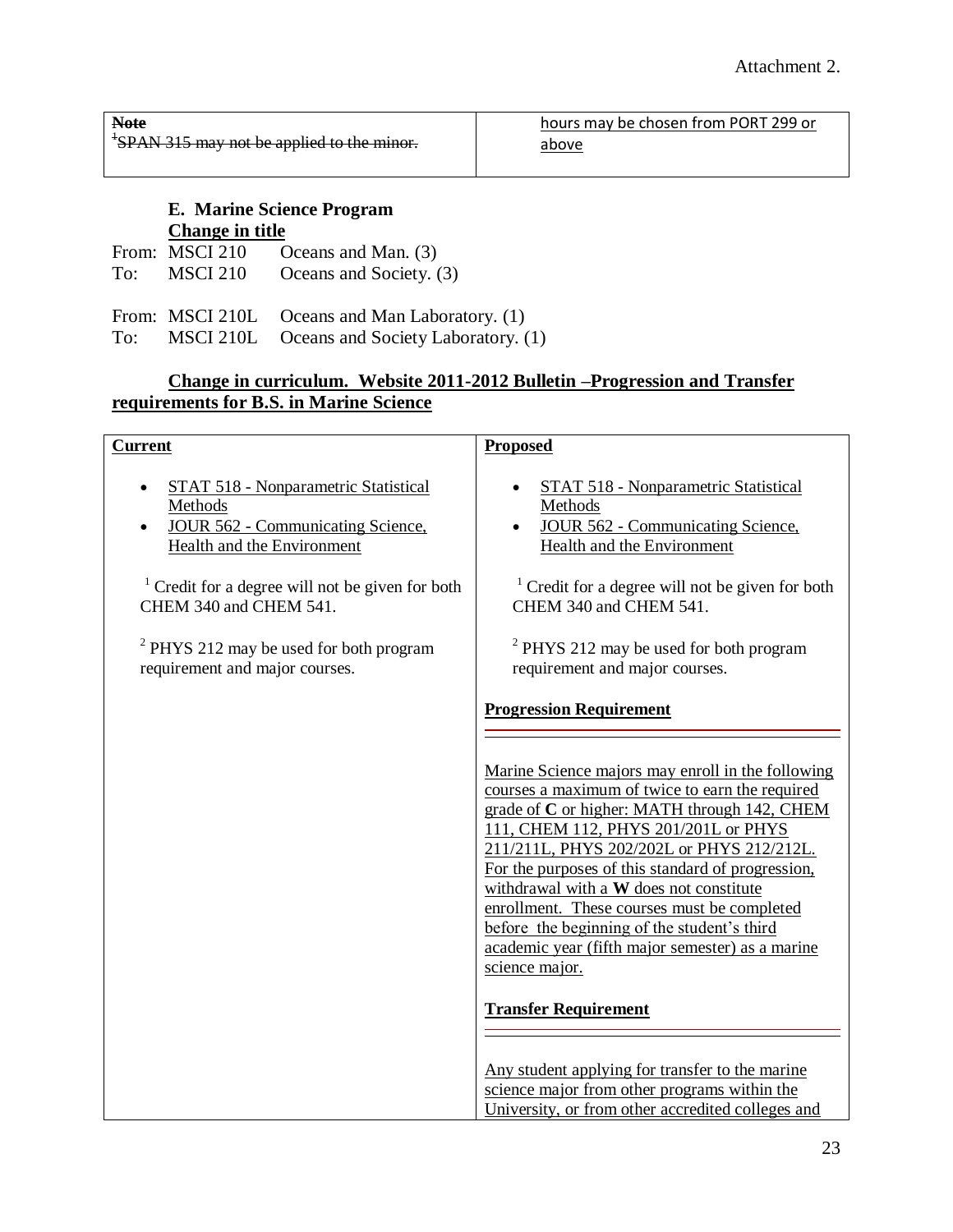| <b>Note</b>                                            | hours may be chosen from PORT 299 or |
|--------------------------------------------------------|--------------------------------------|
| <sup>+</sup> SPAN 315 may not be applied to the minor. | above                                |
|                                                        |                                      |

### **E. Marine Science Program Change in title**

| From: MSCI 210 | Oceans and Man. (3)     |
|----------------|-------------------------|
| To: MSCI 210   | Oceans and Society. (3) |
|                |                         |

From: MSCI 210L Oceans and Man Laboratory. (1)

To: MSCI 210L Oceans and Society Laboratory. (1)

# **Change in curriculum. Website 2011-2012 Bulletin –Progression and Transfer requirements for B.S. in Marine Science**

| <b>Current</b>                                                                                                                   | <b>Proposed</b>                                                                                                                                                                                                                                                                                                                                                                                                                                                                                               |
|----------------------------------------------------------------------------------------------------------------------------------|---------------------------------------------------------------------------------------------------------------------------------------------------------------------------------------------------------------------------------------------------------------------------------------------------------------------------------------------------------------------------------------------------------------------------------------------------------------------------------------------------------------|
| STAT 518 - Nonparametric Statistical<br>Methods<br><b>JOUR 562 - Communicating Science,</b><br><b>Health and the Environment</b> | STAT 518 - Nonparametric Statistical<br>Methods<br><b>JOUR 562 - Communicating Science,</b><br><b>Health and the Environment</b>                                                                                                                                                                                                                                                                                                                                                                              |
| <sup>1</sup> Credit for a degree will not be given for both<br>CHEM 340 and CHEM 541.                                            | $1$ Credit for a degree will not be given for both<br>CHEM 340 and CHEM 541.                                                                                                                                                                                                                                                                                                                                                                                                                                  |
| $2$ PHYS 212 may be used for both program<br>requirement and major courses.                                                      | $2$ PHYS 212 may be used for both program<br>requirement and major courses.                                                                                                                                                                                                                                                                                                                                                                                                                                   |
|                                                                                                                                  | <b>Progression Requirement</b>                                                                                                                                                                                                                                                                                                                                                                                                                                                                                |
|                                                                                                                                  | Marine Science majors may enroll in the following<br>courses a maximum of twice to earn the required<br>grade of C or higher: MATH through 142, CHEM<br>111, CHEM 112, PHYS 201/201L or PHYS<br>211/211L, PHYS 202/202L or PHYS 212/212L.<br>For the purposes of this standard of progression,<br>withdrawal with a W does not constitute<br>enrollment. These courses must be completed<br>before the beginning of the student's third<br>academic year (fifth major semester) as a marine<br>science major. |
|                                                                                                                                  | <b>Transfer Requirement</b>                                                                                                                                                                                                                                                                                                                                                                                                                                                                                   |
|                                                                                                                                  | Any student applying for transfer to the marine<br>science major from other programs within the<br>University, or from other accredited colleges and                                                                                                                                                                                                                                                                                                                                                          |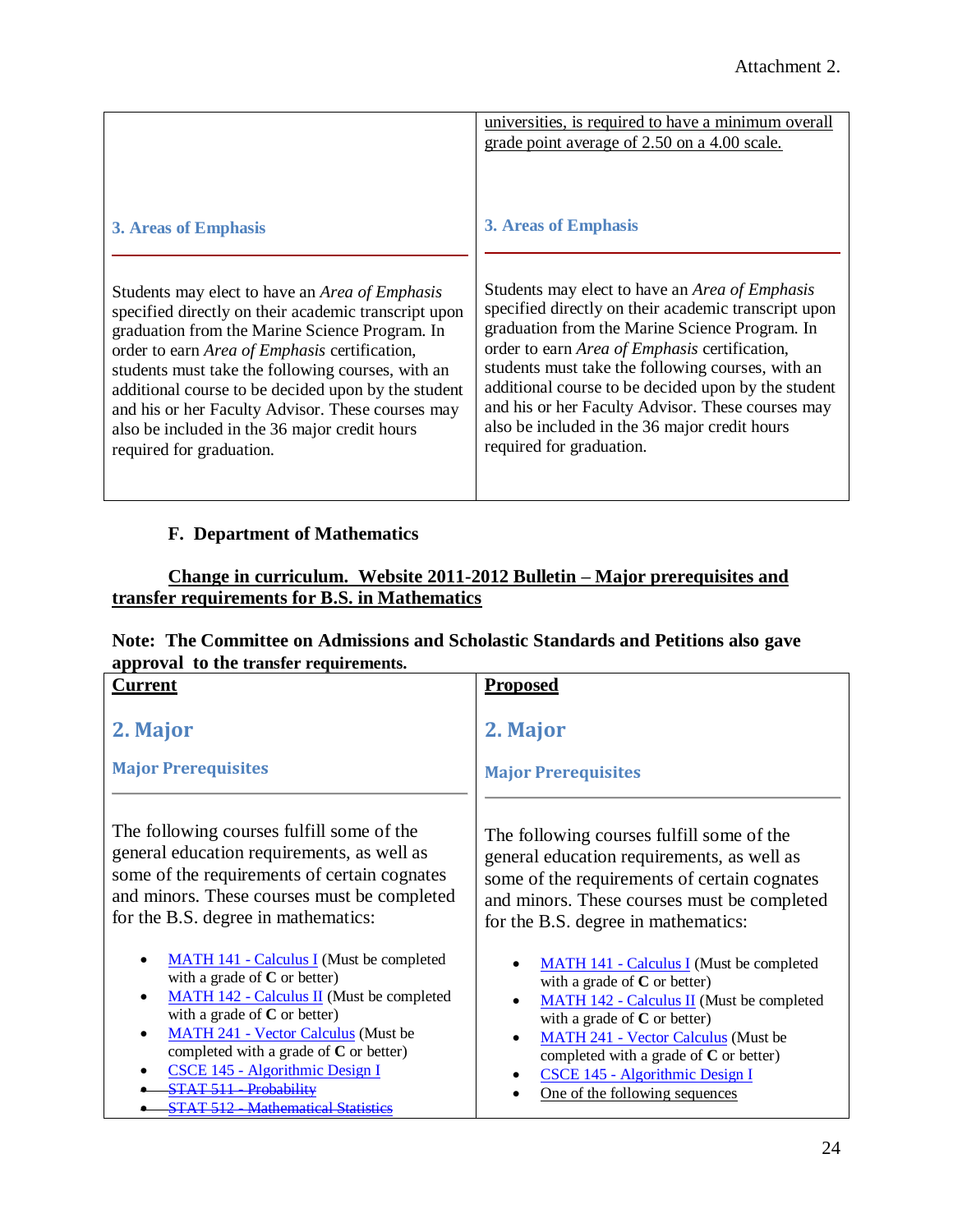|                                                                                                                                                                                                                                                                                                                                                                                                                                                                | universities, is required to have a minimum overall<br>grade point average of 2.50 on a 4.00 scale.                                                                                                                                                                                                                                                                                                                                                            |
|----------------------------------------------------------------------------------------------------------------------------------------------------------------------------------------------------------------------------------------------------------------------------------------------------------------------------------------------------------------------------------------------------------------------------------------------------------------|----------------------------------------------------------------------------------------------------------------------------------------------------------------------------------------------------------------------------------------------------------------------------------------------------------------------------------------------------------------------------------------------------------------------------------------------------------------|
| 3. Areas of Emphasis                                                                                                                                                                                                                                                                                                                                                                                                                                           | 3. Areas of Emphasis                                                                                                                                                                                                                                                                                                                                                                                                                                           |
| Students may elect to have an <i>Area of Emphasis</i><br>specified directly on their academic transcript upon<br>graduation from the Marine Science Program. In<br>order to earn Area of Emphasis certification,<br>students must take the following courses, with an<br>additional course to be decided upon by the student<br>and his or her Faculty Advisor. These courses may<br>also be included in the 36 major credit hours<br>required for graduation. | Students may elect to have an <i>Area of Emphasis</i><br>specified directly on their academic transcript upon<br>graduation from the Marine Science Program. In<br>order to earn Area of Emphasis certification,<br>students must take the following courses, with an<br>additional course to be decided upon by the student<br>and his or her Faculty Advisor. These courses may<br>also be included in the 36 major credit hours<br>required for graduation. |

# **F. Department of Mathematics**

# **Change in curriculum. Website 2011-2012 Bulletin – Major prerequisites and transfer requirements for B.S. in Mathematics**

| Note: The Committee on Admissions and Scholastic Standards and Petitions also gave |  |
|------------------------------------------------------------------------------------|--|
| approval to the transfer requirements.                                             |  |

| <b>Current</b>                                                                                                                                                                                                                                                                                                                                                                           | <b>Proposed</b>                                                                                                                                                                                                                                                                                                                 |
|------------------------------------------------------------------------------------------------------------------------------------------------------------------------------------------------------------------------------------------------------------------------------------------------------------------------------------------------------------------------------------------|---------------------------------------------------------------------------------------------------------------------------------------------------------------------------------------------------------------------------------------------------------------------------------------------------------------------------------|
| 2. Major                                                                                                                                                                                                                                                                                                                                                                                 | 2. Major                                                                                                                                                                                                                                                                                                                        |
| <b>Major Prerequisites</b>                                                                                                                                                                                                                                                                                                                                                               | <b>Major Prerequisites</b>                                                                                                                                                                                                                                                                                                      |
| The following courses fulfill some of the                                                                                                                                                                                                                                                                                                                                                | The following courses fulfill some of the                                                                                                                                                                                                                                                                                       |
| general education requirements, as well as                                                                                                                                                                                                                                                                                                                                               | general education requirements, as well as                                                                                                                                                                                                                                                                                      |
| some of the requirements of certain cognates                                                                                                                                                                                                                                                                                                                                             | some of the requirements of certain cognates                                                                                                                                                                                                                                                                                    |
| and minors. These courses must be completed                                                                                                                                                                                                                                                                                                                                              | and minors. These courses must be completed                                                                                                                                                                                                                                                                                     |
| for the B.S. degree in mathematics:                                                                                                                                                                                                                                                                                                                                                      | for the B.S. degree in mathematics:                                                                                                                                                                                                                                                                                             |
| <b>MATH 141 - Calculus I</b> (Must be completed<br>with a grade of $C$ or better)<br><b>MATH 142 - Calculus II</b> (Must be completed<br>with a grade of $C$ or better)<br><b>MATH 241 - Vector Calculus (Must be</b><br>completed with a grade of $C$ or better)<br>CSCE 145 - Algorithmic Design I<br><b>STAT 511 Probability</b><br><b>Mathematical Statistics</b><br><b>CTAT 512</b> | <b>MATH 141 - Calculus I (Must be completed</b><br>with a grade of $C$ or better)<br>MATH 142 - Calculus II (Must be completed<br>with a grade of $C$ or better)<br><b>MATH 241 - Vector Calculus (Must be</b><br>completed with a grade of $C$ or better)<br>CSCE 145 - Algorithmic Design I<br>One of the following sequences |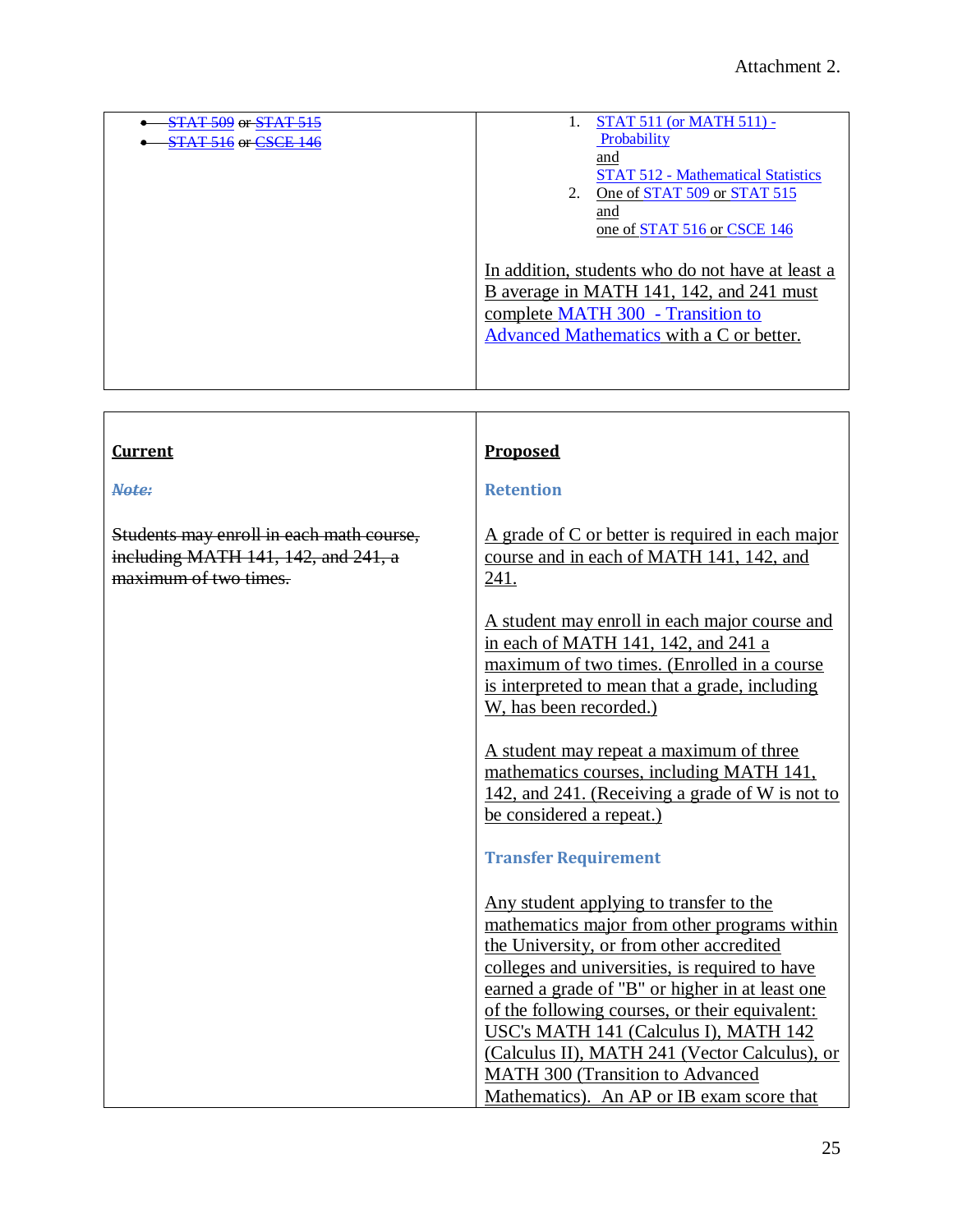| <b>STAT 509 or STAT 515</b><br><b>STAT 516 or CSCE 146</b> | STAT 511 (or MATH 511) -<br>Probability<br>and<br><b>STAT 512 - Mathematical Statistics</b><br>One of STAT 509 or STAT 515<br>2.<br>and<br>one of STAT 516 or CSCE 146        |
|------------------------------------------------------------|-------------------------------------------------------------------------------------------------------------------------------------------------------------------------------|
|                                                            | In addition, students who do not have at least a<br>B average in MATH 141, 142, and 241 must<br>complete MATH 300 - Transition to<br>Advanced Mathematics with a C or better. |

| <b>Current</b>                                                                                           | Proposed                                                                                                                                                                                                                                                                                                                                                                                                                                                                     |
|----------------------------------------------------------------------------------------------------------|------------------------------------------------------------------------------------------------------------------------------------------------------------------------------------------------------------------------------------------------------------------------------------------------------------------------------------------------------------------------------------------------------------------------------------------------------------------------------|
| Note:                                                                                                    | <b>Retention</b>                                                                                                                                                                                                                                                                                                                                                                                                                                                             |
| Students may enroll in each math course,<br>including MATH 141, 142, and 241, a<br>maximum of two times. | A grade of C or better is required in each major<br>course and in each of MATH 141, 142, and<br>241.                                                                                                                                                                                                                                                                                                                                                                         |
|                                                                                                          | A student may enroll in each major course and<br>in each of MATH 141, 142, and 241 a<br>maximum of two times. (Enrolled in a course<br>is interpreted to mean that a grade, including<br>W, has been recorded.)                                                                                                                                                                                                                                                              |
|                                                                                                          | A student may repeat a maximum of three<br>mathematics courses, including MATH 141,<br>142, and 241. (Receiving a grade of W is not to<br>be considered a repeat.)                                                                                                                                                                                                                                                                                                           |
|                                                                                                          | <b>Transfer Requirement</b>                                                                                                                                                                                                                                                                                                                                                                                                                                                  |
|                                                                                                          | Any student applying to transfer to the<br>mathematics major from other programs within<br>the University, or from other accredited<br>colleges and universities, is required to have<br>earned a grade of "B" or higher in at least one<br>of the following courses, or their equivalent:<br>USC's MATH 141 (Calculus I), MATH 142<br>(Calculus II), MATH 241 (Vector Calculus), or<br><b>MATH 300 (Transition to Advanced</b><br>Mathematics). An AP or IB exam score that |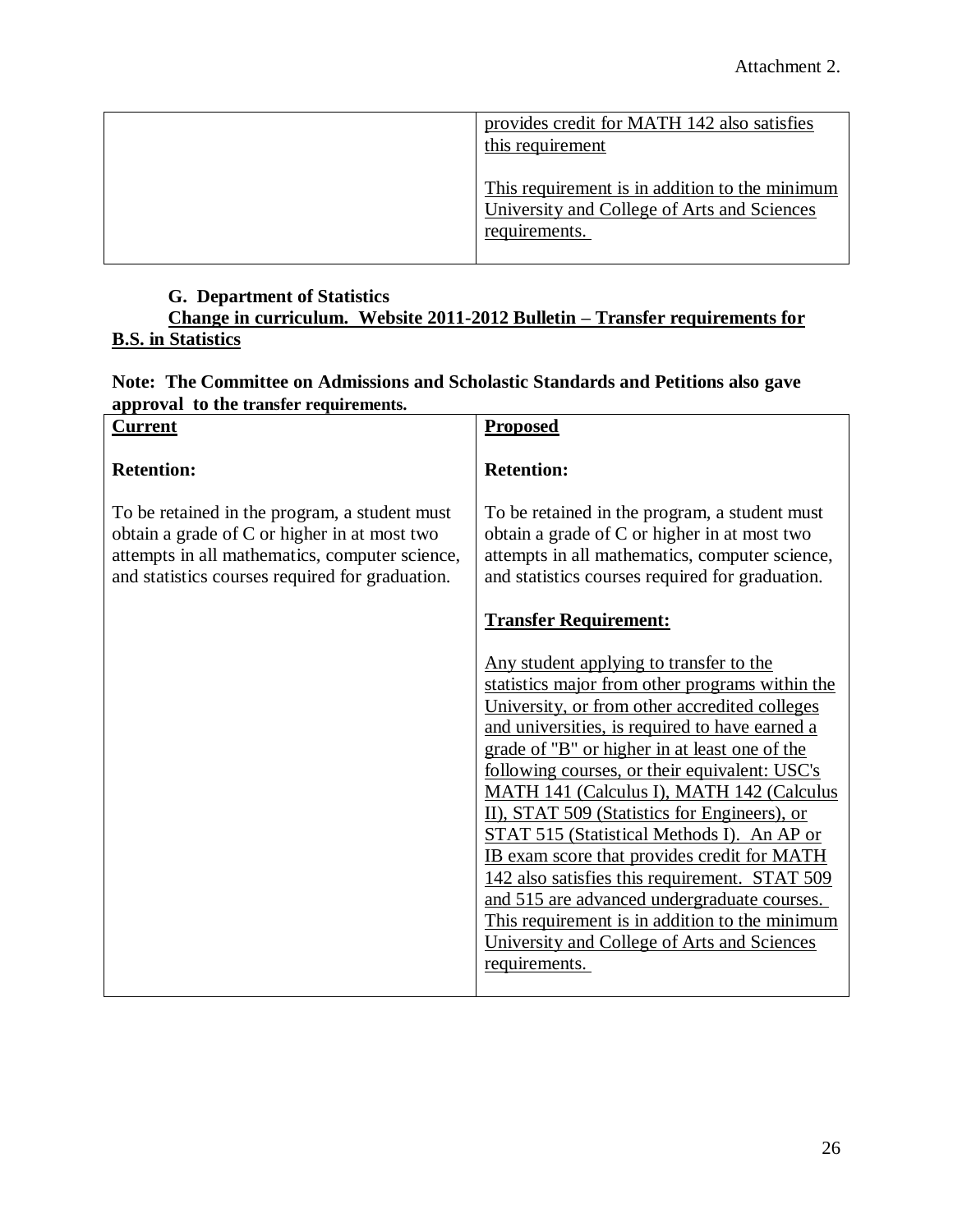| provides credit for MATH 142 also satisfies<br>this requirement                                                |
|----------------------------------------------------------------------------------------------------------------|
| This requirement is in addition to the minimum<br>University and College of Arts and Sciences<br>requirements. |

# **G. Department of Statistics**

**Change in curriculum. Website 2011-2012 Bulletin – Transfer requirements for B.S. in Statistics**

# **Note: The Committee on Admissions and Scholastic Standards and Petitions also gave approval to the transfer requirements.**

| $\mu$ $\mu$ $\sigma$ $\alpha$ $\mu$ $\sigma$ $\alpha$ $\mu$ $\mu$ $\mu$ $\sigma$ $\alpha$<br><b>Current</b>                                                                                        | <b>Proposed</b>                                                                                                                                                                                                                                                                                                                                                                                                                                                                                                                                                                                                                                                                                             |
|----------------------------------------------------------------------------------------------------------------------------------------------------------------------------------------------------|-------------------------------------------------------------------------------------------------------------------------------------------------------------------------------------------------------------------------------------------------------------------------------------------------------------------------------------------------------------------------------------------------------------------------------------------------------------------------------------------------------------------------------------------------------------------------------------------------------------------------------------------------------------------------------------------------------------|
| <b>Retention:</b>                                                                                                                                                                                  | <b>Retention:</b>                                                                                                                                                                                                                                                                                                                                                                                                                                                                                                                                                                                                                                                                                           |
| To be retained in the program, a student must<br>obtain a grade of C or higher in at most two<br>attempts in all mathematics, computer science,<br>and statistics courses required for graduation. | To be retained in the program, a student must<br>obtain a grade of C or higher in at most two<br>attempts in all mathematics, computer science,<br>and statistics courses required for graduation.                                                                                                                                                                                                                                                                                                                                                                                                                                                                                                          |
|                                                                                                                                                                                                    | <b>Transfer Requirement:</b>                                                                                                                                                                                                                                                                                                                                                                                                                                                                                                                                                                                                                                                                                |
|                                                                                                                                                                                                    | Any student applying to transfer to the<br>statistics major from other programs within the<br>University, or from other accredited colleges<br>and universities, is required to have earned a<br>grade of "B" or higher in at least one of the<br>following courses, or their equivalent: USC's<br>MATH 141 (Calculus I), MATH 142 (Calculus<br>II), STAT 509 (Statistics for Engineers), or<br>STAT 515 (Statistical Methods I). An AP or<br>IB exam score that provides credit for MATH<br>142 also satisfies this requirement. STAT 509<br>and 515 are advanced undergraduate courses.<br>This requirement is in addition to the minimum<br>University and College of Arts and Sciences<br>requirements. |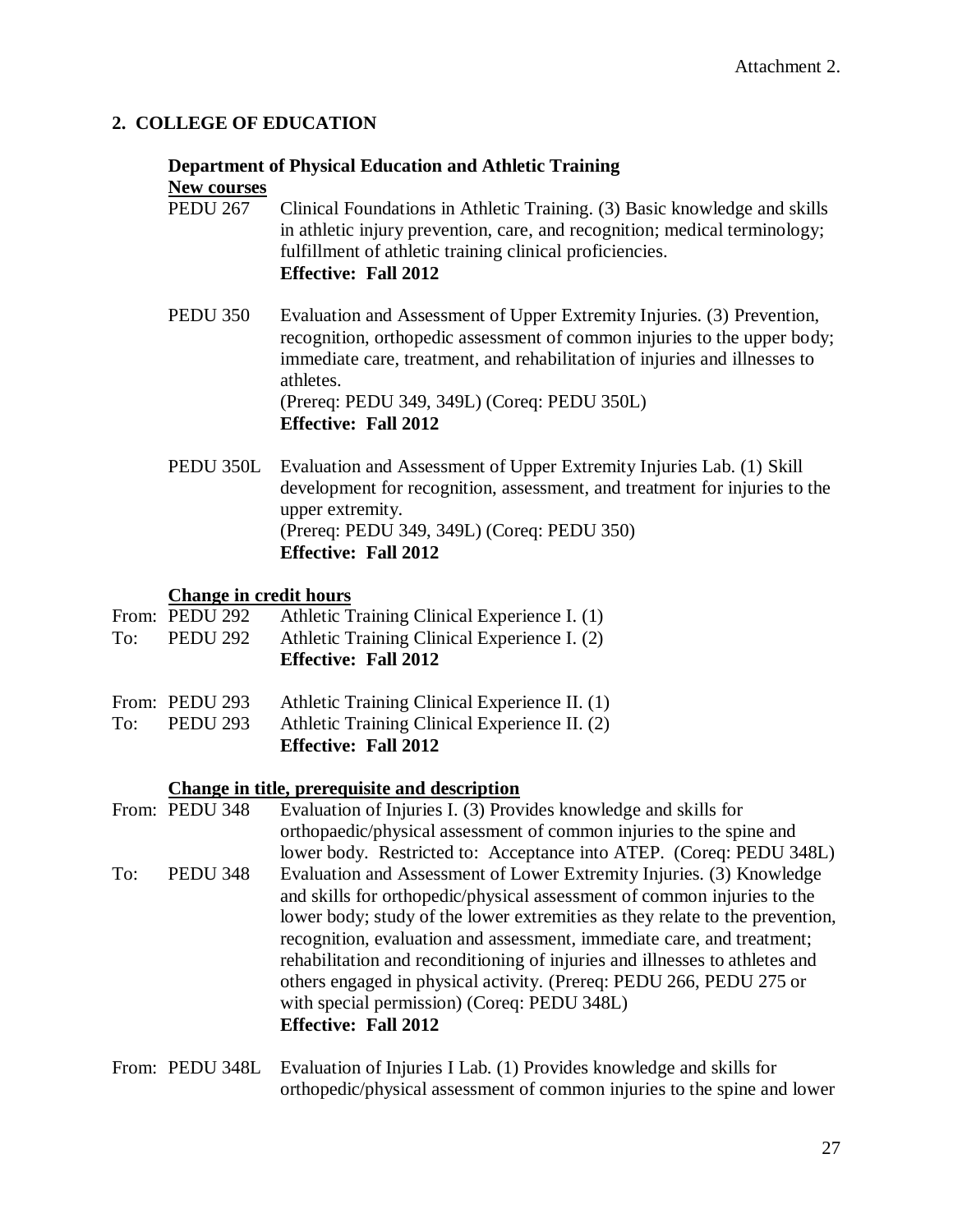# **2. COLLEGE OF EDUCATION**

#### **Department of Physical Education and Athletic Training New courses**

- PEDU 267 Clinical Foundations in Athletic Training. (3) Basic knowledge and skills in athletic injury prevention, care, and recognition; medical terminology; fulfillment of athletic training clinical proficiencies. **Effective: Fall 2012**
- PEDU 350 Evaluation and Assessment of Upper Extremity Injuries. (3) Prevention, recognition, orthopedic assessment of common injuries to the upper body; immediate care, treatment, and rehabilitation of injuries and illnesses to athletes. (Prereq: PEDU 349, 349L) (Coreq: PEDU 350L) **Effective: Fall 2012**
- PEDU 350L Evaluation and Assessment of Upper Extremity Injuries Lab. (1) Skill development for recognition, assessment, and treatment for injuries to the upper extremity. (Prereq: PEDU 349, 349L) (Coreq: PEDU 350) **Effective: Fall 2012**

#### **Change in credit hours**

- From: PEDU 292 Athletic Training Clinical Experience I. (1) To: PEDU 292 Athletic Training Clinical Experience I. (2) **Effective: Fall 2012**
- From: PEDU 293 Athletic Training Clinical Experience II. (1)
- To: PEDU 293 Athletic Training Clinical Experience II. (2) **Effective: Fall 2012**

#### **Change in title, prerequisite and description**

From: PEDU 348 Evaluation of Injuries I. (3) Provides knowledge and skills for orthopaedic/physical assessment of common injuries to the spine and lower body. Restricted to: Acceptance into ATEP. (Coreq: PEDU 348L) To: PEDU 348 Evaluation and Assessment of Lower Extremity Injuries. (3) Knowledge and skills for orthopedic/physical assessment of common injuries to the lower body; study of the lower extremities as they relate to the prevention, recognition, evaluation and assessment, immediate care, and treatment; rehabilitation and reconditioning of injuries and illnesses to athletes and others engaged in physical activity. (Prereq: PEDU 266, PEDU 275 or with special permission) (Coreq: PEDU 348L) **Effective: Fall 2012**

## From: PEDU 348L Evaluation of Injuries I Lab. (1) Provides knowledge and skills for orthopedic/physical assessment of common injuries to the spine and lower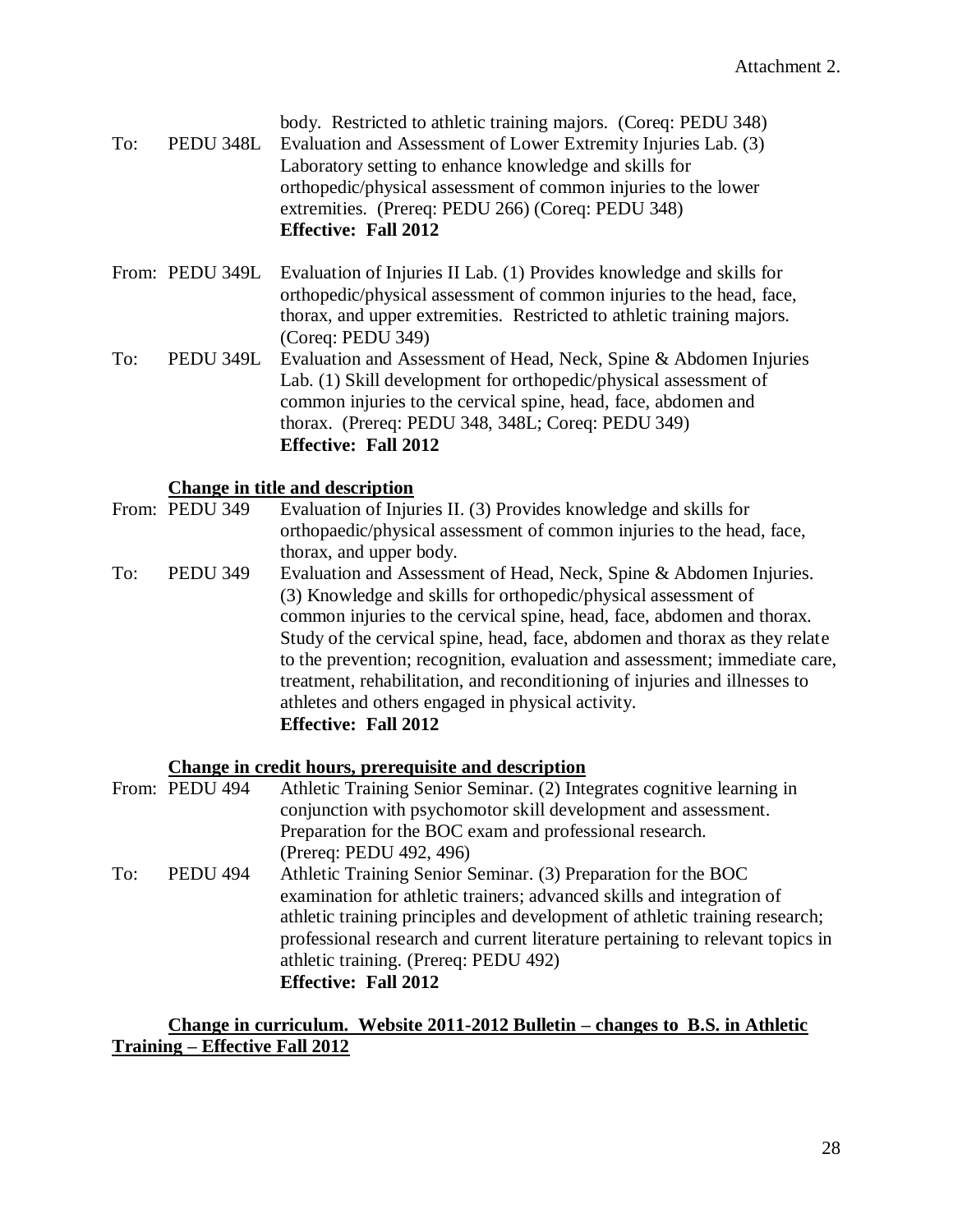|     |           | body. Restricted to athletic training majors. (Coreq: PEDU 348) |
|-----|-----------|-----------------------------------------------------------------|
| To: | PEDU 348L | Evaluation and Assessment of Lower Extremity Injuries Lab. (3)  |
|     |           | Laboratory setting to enhance knowledge and skills for          |
|     |           | orthopedic/physical assessment of common injuries to the lower  |
|     |           | extremities. (Prereq: PEDU 266) (Coreq: PEDU 348)               |
|     |           | <b>Effective: Fall 2012</b>                                     |

From: PEDU 349L Evaluation of Injuries II Lab. (1) Provides knowledge and skills for orthopedic/physical assessment of common injuries to the head, face, thorax, and upper extremities. Restricted to athletic training majors. (Coreq: PEDU 349)

To: PEDU 349L Evaluation and Assessment of Head, Neck, Spine & Abdomen Injuries Lab. (1) Skill development for orthopedic/physical assessment of common injuries to the cervical spine, head, face, abdomen and thorax. (Prereq: PEDU 348, 348L; Coreq: PEDU 349) **Effective: Fall 2012**

# **Change in title and description**

- From: PEDU 349 Evaluation of Injuries II. (3) Provides knowledge and skills for orthopaedic/physical assessment of common injuries to the head, face, thorax, and upper body.
- To: PEDU 349 Evaluation and Assessment of Head, Neck, Spine & Abdomen Injuries. (3) Knowledge and skills for orthopedic/physical assessment of common injuries to the cervical spine, head, face, abdomen and thorax. Study of the cervical spine, head, face, abdomen and thorax as they relate to the prevention; recognition, evaluation and assessment; immediate care, treatment, rehabilitation, and reconditioning of injuries and illnesses to athletes and others engaged in physical activity. **Effective: Fall 2012**

#### **Change in credit hours, prerequisite and description**

|     | From: PEDU 494  | Athletic Training Senior Seminar. (2) Integrates cognitive learning in        |
|-----|-----------------|-------------------------------------------------------------------------------|
|     |                 | conjunction with psychomotor skill development and assessment.                |
|     |                 | Preparation for the BOC exam and professional research.                       |
|     |                 | (Prereq: PEDU 492, 496)                                                       |
| To: | <b>PEDU 494</b> | Athletic Training Senior Seminar. (3) Preparation for the BOC                 |
|     |                 | examination for athletic trainers; advanced skills and integration of         |
|     |                 | athletic training principles and development of athletic training research;   |
|     |                 | professional research and current literature pertaining to relevant topics in |
|     |                 | athletic training. (Prereq: PEDU 492)                                         |
|     |                 | <b>Effective: Fall 2012</b>                                                   |

### **Change in curriculum. Website 2011-2012 Bulletin – changes to B.S. in Athletic Training – Effective Fall 2012**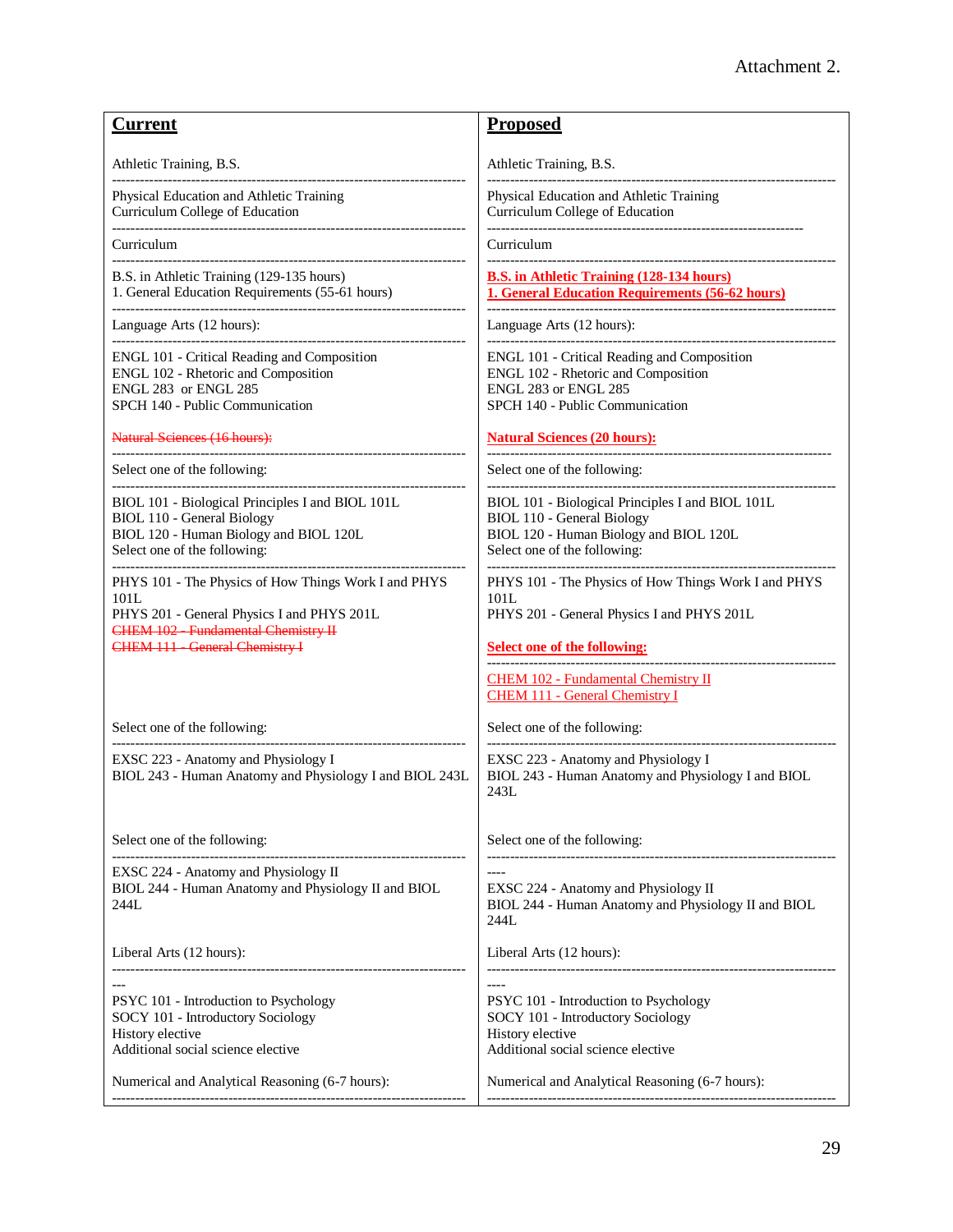| <b>Current</b>                                                                                                                                                                                    | <b>Proposed</b>                                                                                                                                                 |
|---------------------------------------------------------------------------------------------------------------------------------------------------------------------------------------------------|-----------------------------------------------------------------------------------------------------------------------------------------------------------------|
| Athletic Training, B.S.                                                                                                                                                                           | Athletic Training, B.S.                                                                                                                                         |
| Physical Education and Athletic Training<br>Curriculum College of Education<br>---------------------------------                                                                                  | Physical Education and Athletic Training<br>Curriculum College of Education<br>--------------------------------                                                 |
| Curriculum                                                                                                                                                                                        | Curriculum                                                                                                                                                      |
| B.S. in Athletic Training (129-135 hours)<br>1. General Education Requirements (55-61 hours)                                                                                                      | <b>B.S. in Athletic Training (128-134 hours)</b><br>1. General Education Requirements (56-62 hours)                                                             |
| Language Arts (12 hours):                                                                                                                                                                         | Language Arts (12 hours):                                                                                                                                       |
| ENGL 101 - Critical Reading and Composition<br>ENGL 102 - Rhetoric and Composition<br>ENGL 283 or ENGL 285<br>SPCH 140 - Public Communication                                                     | ENGL 101 - Critical Reading and Composition<br>ENGL 102 - Rhetoric and Composition<br>ENGL 283 or ENGL 285<br>SPCH 140 - Public Communication                   |
| <b>Natural Sciences (16 hours):</b>                                                                                                                                                               | <b>Natural Sciences (20 hours):</b>                                                                                                                             |
| Select one of the following:                                                                                                                                                                      | Select one of the following:                                                                                                                                    |
| BIOL 101 - Biological Principles I and BIOL 101L<br>BIOL 110 - General Biology<br>BIOL 120 - Human Biology and BIOL 120L<br>Select one of the following:                                          | BIOL 101 - Biological Principles I and BIOL 101L<br><b>BIOL 110 - General Biology</b><br>BIOL 120 - Human Biology and BIOL 120L<br>Select one of the following: |
| PHYS 101 - The Physics of How Things Work I and PHYS<br>101L<br>PHYS 201 - General Physics I and PHYS 201L<br><b>CHEM 102 - Fundamental Chemistry II</b><br><b>CHEM 111 - General Chemistry I</b> | PHYS 101 - The Physics of How Things Work I and PHYS<br>101L<br>PHYS 201 - General Physics I and PHYS 201L<br><b>Select one of the following:</b>               |
|                                                                                                                                                                                                   | <b>CHEM 102 - Fundamental Chemistry II</b><br><b>CHEM 111 - General Chemistry I</b>                                                                             |
| Select one of the following:                                                                                                                                                                      | Select one of the following:                                                                                                                                    |
| EXSC 223 - Anatomy and Physiology I<br>BIOL 243 - Human Anatomy and Physiology I and BIOL 243L                                                                                                    | EXSC 223 - Anatomy and Physiology I<br>BIOL 243 - Human Anatomy and Physiology I and BIOL<br>243L                                                               |
| Select one of the following:                                                                                                                                                                      | Select one of the following:                                                                                                                                    |
| EXSC 224 - Anatomy and Physiology II<br>BIOL 244 - Human Anatomy and Physiology II and BIOL<br>244L                                                                                               | EXSC 224 - Anatomy and Physiology II<br>BIOL 244 - Human Anatomy and Physiology II and BIOL<br>244L                                                             |
| Liberal Arts (12 hours):                                                                                                                                                                          | Liberal Arts (12 hours):                                                                                                                                        |
| PSYC 101 - Introduction to Psychology<br>SOCY 101 - Introductory Sociology<br>History elective<br>Additional social science elective                                                              | PSYC 101 - Introduction to Psychology<br>SOCY 101 - Introductory Sociology<br>History elective<br>Additional social science elective                            |
| Numerical and Analytical Reasoning (6-7 hours):                                                                                                                                                   | Numerical and Analytical Reasoning (6-7 hours):                                                                                                                 |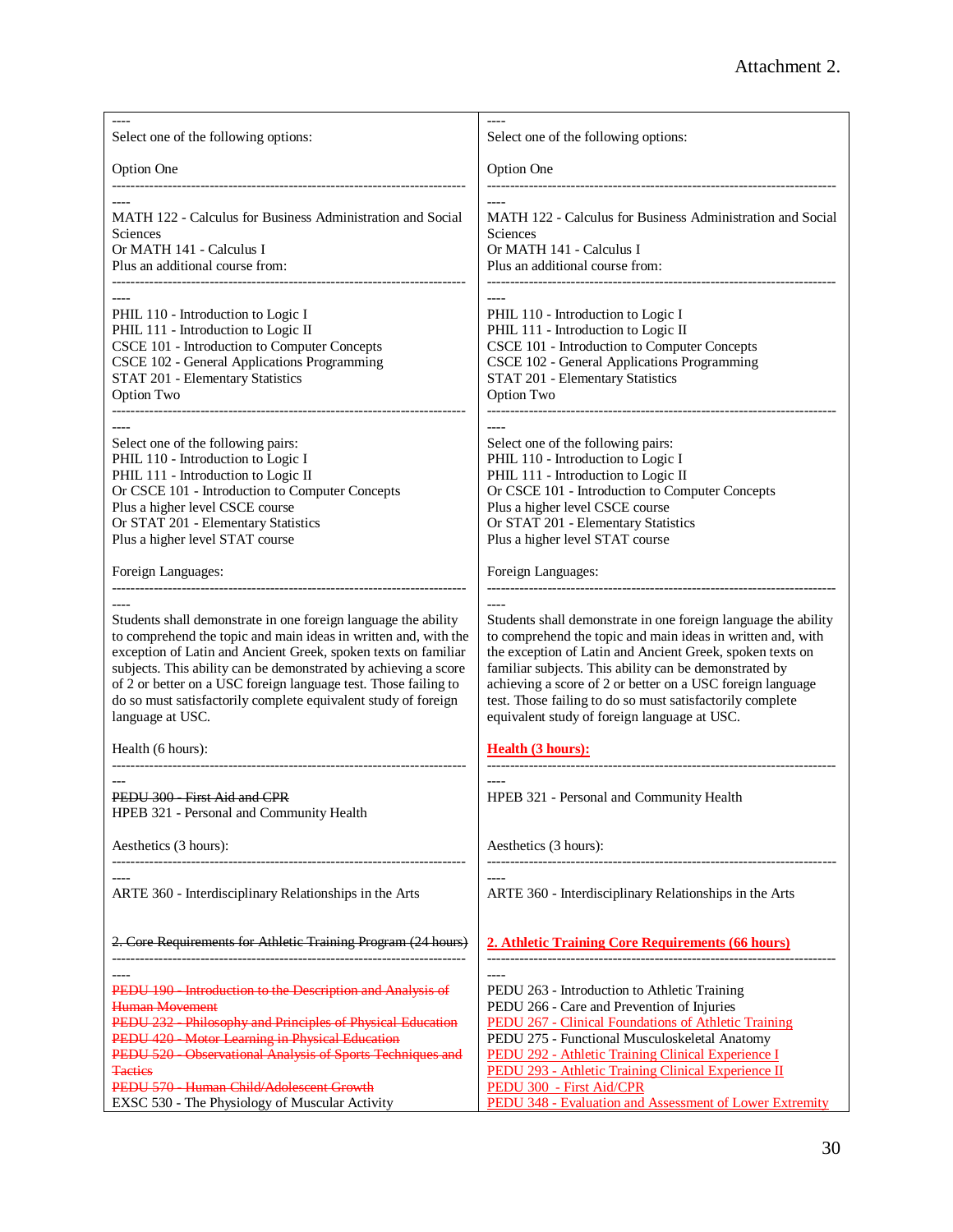| Select one of the following options:                                                                                                                                                                                                                                                                                                                                                                                            | Select one of the following options:                                                                                                                                                                                                                                                                                                                                                                                            |
|---------------------------------------------------------------------------------------------------------------------------------------------------------------------------------------------------------------------------------------------------------------------------------------------------------------------------------------------------------------------------------------------------------------------------------|---------------------------------------------------------------------------------------------------------------------------------------------------------------------------------------------------------------------------------------------------------------------------------------------------------------------------------------------------------------------------------------------------------------------------------|
| <b>Option One</b>                                                                                                                                                                                                                                                                                                                                                                                                               | <b>Option One</b>                                                                                                                                                                                                                                                                                                                                                                                                               |
| MATH 122 - Calculus for Business Administration and Social<br>Sciences<br>Or MATH 141 - Calculus I<br>Plus an additional course from:                                                                                                                                                                                                                                                                                           | MATH 122 - Calculus for Business Administration and Social<br>Sciences<br>Or MATH 141 - Calculus I<br>Plus an additional course from:                                                                                                                                                                                                                                                                                           |
| PHIL 110 - Introduction to Logic I<br>PHIL 111 - Introduction to Logic II<br>CSCE 101 - Introduction to Computer Concepts<br>CSCE 102 - General Applications Programming<br>STAT 201 - Elementary Statistics<br>Option Two                                                                                                                                                                                                      | PHIL 110 - Introduction to Logic I<br>PHIL 111 - Introduction to Logic II<br>CSCE 101 - Introduction to Computer Concepts<br>CSCE 102 - General Applications Programming<br>STAT 201 - Elementary Statistics<br>Option Two                                                                                                                                                                                                      |
| Select one of the following pairs:<br>PHIL 110 - Introduction to Logic I<br>PHIL 111 - Introduction to Logic II<br>Or CSCE 101 - Introduction to Computer Concepts<br>Plus a higher level CSCE course<br>Or STAT 201 - Elementary Statistics<br>Plus a higher level STAT course                                                                                                                                                 | Select one of the following pairs:<br>PHIL 110 - Introduction to Logic I<br>PHIL 111 - Introduction to Logic II<br>Or CSCE 101 - Introduction to Computer Concepts<br>Plus a higher level CSCE course<br>Or STAT 201 - Elementary Statistics<br>Plus a higher level STAT course                                                                                                                                                 |
| Foreign Languages:                                                                                                                                                                                                                                                                                                                                                                                                              | Foreign Languages:                                                                                                                                                                                                                                                                                                                                                                                                              |
| Students shall demonstrate in one foreign language the ability<br>to comprehend the topic and main ideas in written and, with the<br>exception of Latin and Ancient Greek, spoken texts on familiar<br>subjects. This ability can be demonstrated by achieving a score<br>of 2 or better on a USC foreign language test. Those failing to<br>do so must satisfactorily complete equivalent study of foreign<br>language at USC. | Students shall demonstrate in one foreign language the ability<br>to comprehend the topic and main ideas in written and, with<br>the exception of Latin and Ancient Greek, spoken texts on<br>familiar subjects. This ability can be demonstrated by<br>achieving a score of 2 or better on a USC foreign language<br>test. Those failing to do so must satisfactorily complete<br>equivalent study of foreign language at USC. |
| Health (6 hours):                                                                                                                                                                                                                                                                                                                                                                                                               | <b>Health (3 hours):</b>                                                                                                                                                                                                                                                                                                                                                                                                        |
| PEDU 300 - First Aid and CPR<br>HPEB 321 - Personal and Community Health                                                                                                                                                                                                                                                                                                                                                        | HPEB 321 - Personal and Community Health                                                                                                                                                                                                                                                                                                                                                                                        |
| Aesthetics (3 hours):                                                                                                                                                                                                                                                                                                                                                                                                           | Aesthetics (3 hours):                                                                                                                                                                                                                                                                                                                                                                                                           |
| ARTE 360 - Interdisciplinary Relationships in the Arts                                                                                                                                                                                                                                                                                                                                                                          | ARTE 360 - Interdisciplinary Relationships in the Arts                                                                                                                                                                                                                                                                                                                                                                          |
| 2. Core Requirements for Athletic Training Program (24 hours)                                                                                                                                                                                                                                                                                                                                                                   | 2. Athletic Training Core Requirements (66 hours)                                                                                                                                                                                                                                                                                                                                                                               |
| PEDU 190 - Introduction to the Description and Analysis of<br><b>Human Movement</b><br>PEDU 232 - Philosophy and Principles of Physical Education<br>PEDU 420 - Motor Learning in Physical Education<br>PEDU 520 - Observational Analysis of Sports Techniques and<br><b>Tactics</b><br>PEDU 570 - Human Child/Adolescent Growth<br>EXSC 530 - The Physiology of Muscular Activity                                              | PEDU 263 - Introduction to Athletic Training<br>PEDU 266 - Care and Prevention of Injuries<br><b>PEDU 267 - Clinical Foundations of Athletic Training</b><br>PEDU 275 - Functional Musculoskeletal Anatomy<br><b>PEDU 292 - Athletic Training Clinical Experience I</b><br>PEDU 293 - Athletic Training Clinical Experience II<br><b>PEDU 300 - First Aid/CPR</b><br>PEDU 348 - Evaluation and Assessment of Lower Extremity    |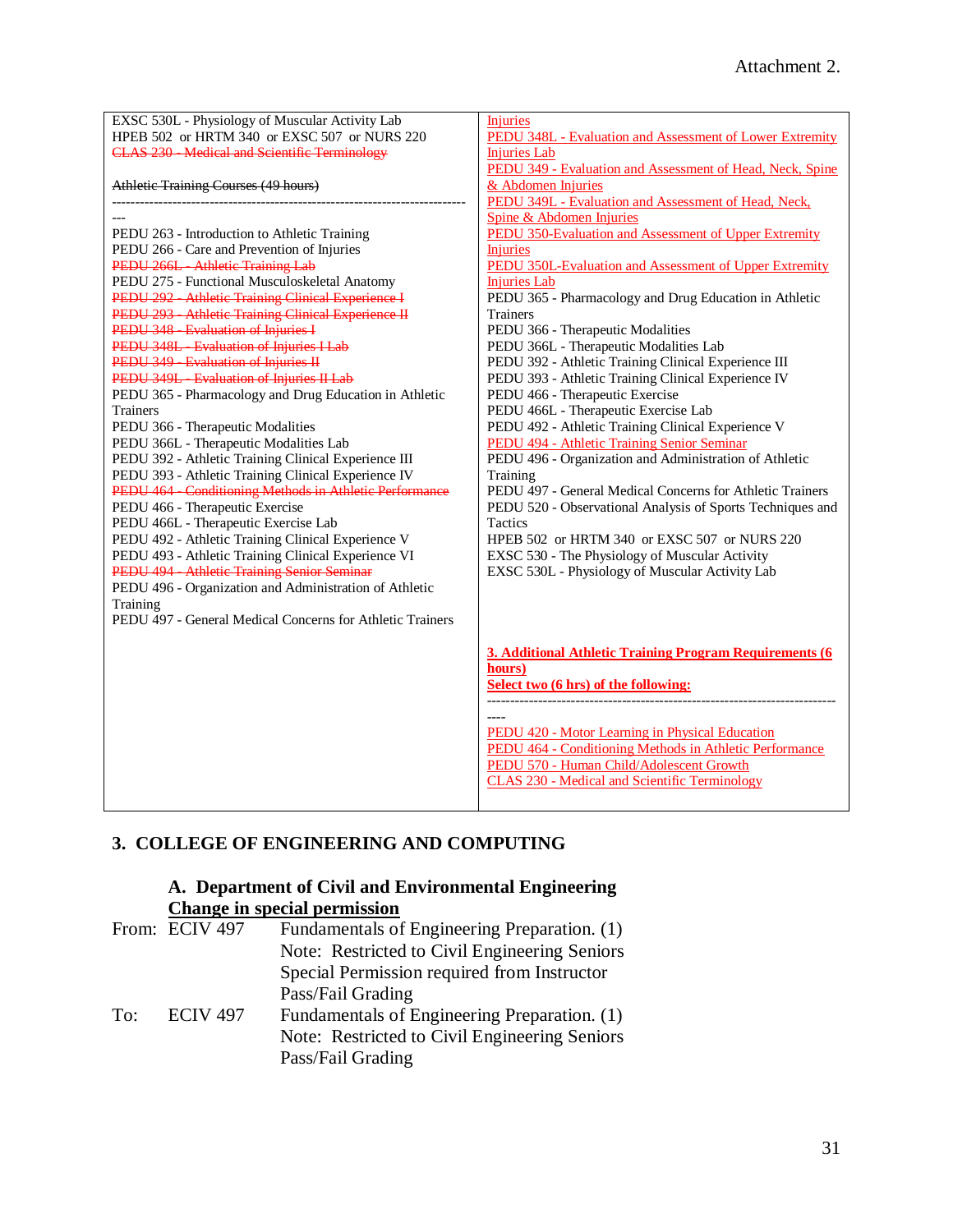| EXSC 530L - Physiology of Muscular Activity Lab           | Injuries                                                        |
|-----------------------------------------------------------|-----------------------------------------------------------------|
| HPEB 502 or HRTM 340 or EXSC 507 or NURS 220              | <b>PEDU 348L - Evaluation and Assessment of Lower Extremity</b> |
| <b>CLAS 230 - Medical and Scientific Terminology</b>      | <b>Injuries Lab</b>                                             |
|                                                           | PEDU 349 - Evaluation and Assessment of Head, Neck, Spine       |
| Athletic Training Courses (49 hours)                      | & Abdomen Injuries                                              |
|                                                           | PEDU 349L - Evaluation and Assessment of Head, Neck,            |
|                                                           | Spine & Abdomen Injuries                                        |
| PEDU 263 - Introduction to Athletic Training              | PEDU 350-Evaluation and Assessment of Upper Extremity           |
| PEDU 266 - Care and Prevention of Injuries                | <b>Injuries</b>                                                 |
| PEDU 266L - Athletic Training Lab                         | PEDU 350L-Evaluation and Assessment of Upper Extremity          |
| PEDU 275 - Functional Musculoskeletal Anatomy             | <b>Injuries Lab</b>                                             |
| PEDU 292 - Athletic Training Clinical Experience I        | PEDU 365 - Pharmacology and Drug Education in Athletic          |
| PEDU 293 - Athletic Training Clinical Experience II       | Trainers                                                        |
| PEDU 348 - Evaluation of Injuries I                       | PEDU 366 - Therapeutic Modalities                               |
| PEDU 348L - Evaluation of Injuries I Lab                  | PEDU 366L - Therapeutic Modalities Lab                          |
| PEDU 349 - Evaluation of Injuries II                      | PEDU 392 - Athletic Training Clinical Experience III            |
| PEDU 349L - Evaluation of Injuries II Lab                 | PEDU 393 - Athletic Training Clinical Experience IV             |
| PEDU 365 - Pharmacology and Drug Education in Athletic    | PEDU 466 - Therapeutic Exercise                                 |
| <b>Trainers</b>                                           | PEDU 466L - Therapeutic Exercise Lab                            |
| PEDU 366 - Therapeutic Modalities                         | PEDU 492 - Athletic Training Clinical Experience V              |
| PEDU 366L - Therapeutic Modalities Lab                    | PEDU 494 - Athletic Training Senior Seminar                     |
| PEDU 392 - Athletic Training Clinical Experience III      | PEDU 496 - Organization and Administration of Athletic          |
| PEDU 393 - Athletic Training Clinical Experience IV       | Training                                                        |
| PEDU 464 - Conditioning Methods in Athletic Performance   | PEDU 497 - General Medical Concerns for Athletic Trainers       |
| PEDU 466 - Therapeutic Exercise                           | PEDU 520 - Observational Analysis of Sports Techniques and      |
| PEDU 466L - Therapeutic Exercise Lab                      | Tactics                                                         |
| PEDU 492 - Athletic Training Clinical Experience V        | HPEB 502 or HRTM 340 or EXSC 507 or NURS 220                    |
| PEDU 493 - Athletic Training Clinical Experience VI       | EXSC 530 - The Physiology of Muscular Activity                  |
| PEDU 494 - Athletic Training Senior Seminar               | EXSC 530L - Physiology of Muscular Activity Lab                 |
| PEDU 496 - Organization and Administration of Athletic    |                                                                 |
| Training                                                  |                                                                 |
| PEDU 497 - General Medical Concerns for Athletic Trainers |                                                                 |
|                                                           |                                                                 |
|                                                           | 3. Additional Athletic Training Program Requirements (6         |
|                                                           | hours)                                                          |
|                                                           | Select two (6 hrs) of the following:                            |
|                                                           |                                                                 |
|                                                           |                                                                 |
|                                                           | PEDU 420 - Motor Learning in Physical Education                 |
|                                                           | PEDU 464 - Conditioning Methods in Athletic Performance         |
|                                                           | PEDU 570 - Human Child/Adolescent Growth                        |
|                                                           | <b>CLAS 230 - Medical and Scientific Terminology</b>            |
|                                                           |                                                                 |

# **3. COLLEGE OF ENGINEERING AND COMPUTING**

# **A. Department of Civil and Environmental Engineering Change in special permission**

|     | From: ECIV 497  | Fundamentals of Engineering Preparation. (1)  |
|-----|-----------------|-----------------------------------------------|
|     |                 | Note: Restricted to Civil Engineering Seniors |
|     |                 | Special Permission required from Instructor   |
|     |                 | Pass/Fail Grading                             |
| To: | <b>ECIV 497</b> | Fundamentals of Engineering Preparation. (1)  |
|     |                 | Note: Restricted to Civil Engineering Seniors |
|     |                 | Pass/Fail Grading                             |